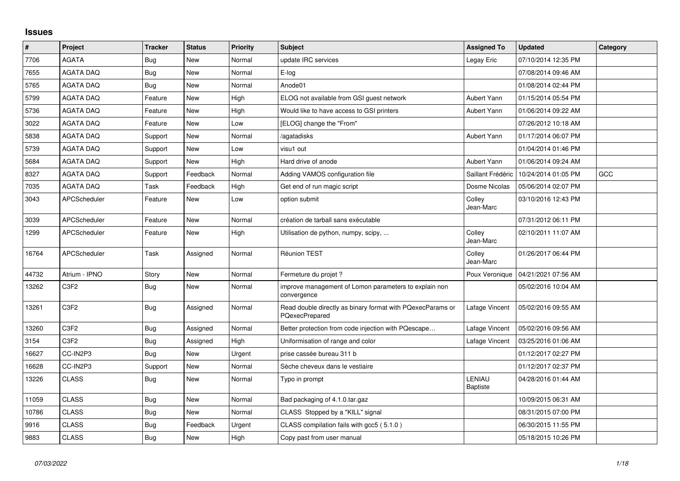## **Issues**

| $\sharp$ | Project                       | <b>Tracker</b> | <b>Status</b> | <b>Priority</b> | <b>Subject</b>                                                               | <b>Assigned To</b>        | <b>Updated</b>      | Category |
|----------|-------------------------------|----------------|---------------|-----------------|------------------------------------------------------------------------------|---------------------------|---------------------|----------|
| 7706     | <b>AGATA</b>                  | Bug            | <b>New</b>    | Normal          | update IRC services                                                          | Legay Eric                | 07/10/2014 12:35 PM |          |
| 7655     | <b>AGATA DAQ</b>              | Bug            | <b>New</b>    | Normal          | E-log                                                                        |                           | 07/08/2014 09:46 AM |          |
| 5765     | <b>AGATA DAQ</b>              | Bug            | <b>New</b>    | Normal          | Anode01                                                                      |                           | 01/08/2014 02:44 PM |          |
| 5799     | <b>AGATA DAQ</b>              | Feature        | <b>New</b>    | High            | ELOG not available from GSI guest network                                    | Aubert Yann               | 01/15/2014 05:54 PM |          |
| 5736     | <b>AGATA DAQ</b>              | Feature        | <b>New</b>    | High            | Would like to have access to GSI printers                                    | Aubert Yann               | 01/06/2014 09:22 AM |          |
| 3022     | <b>AGATA DAQ</b>              | Feature        | <b>New</b>    | Low             | [ELOG] change the "From"                                                     |                           | 07/26/2012 10:18 AM |          |
| 5838     | <b>AGATA DAQ</b>              | Support        | <b>New</b>    | Normal          | /agatadisks                                                                  | Aubert Yann               | 01/17/2014 06:07 PM |          |
| 5739     | <b>AGATA DAQ</b>              | Support        | <b>New</b>    | Low             | visu1 out                                                                    |                           | 01/04/2014 01:46 PM |          |
| 5684     | <b>AGATA DAQ</b>              | Support        | <b>New</b>    | High            | Hard drive of anode                                                          | Aubert Yann               | 01/06/2014 09:24 AM |          |
| 8327     | <b>AGATA DAQ</b>              | Support        | Feedback      | Normal          | Adding VAMOS configuration file                                              | Saillant Frédéric         | 10/24/2014 01:05 PM | GCC      |
| 7035     | <b>AGATA DAQ</b>              | Task           | Feedback      | High            | Get end of run magic script                                                  | Dosme Nicolas             | 05/06/2014 02:07 PM |          |
| 3043     | <b>APCScheduler</b>           | Feature        | <b>New</b>    | Low             | option submit                                                                | Colley<br>Jean-Marc       | 03/10/2016 12:43 PM |          |
| 3039     | APCScheduler                  | Feature        | New           | Normal          | création de tarball sans exécutable                                          |                           | 07/31/2012 06:11 PM |          |
| 1299     | APCScheduler                  | Feature        | <b>New</b>    | High            | Utilisation de python, numpy, scipy,                                         | Colley<br>Jean-Marc       | 02/10/2011 11:07 AM |          |
| 16764    | APCScheduler                  | Task           | Assigned      | Normal          | <b>Réunion TEST</b>                                                          | Colley<br>Jean-Marc       | 01/26/2017 06:44 PM |          |
| 44732    | Atrium - IPNO                 | Story          | New           | Normal          | Fermeture du projet ?                                                        | Poux Veronique            | 04/21/2021 07:56 AM |          |
| 13262    | C3F2                          | <b>Bug</b>     | New           | Normal          | improve management of Lomon parameters to explain non<br>convergence         |                           | 05/02/2016 10:04 AM |          |
| 13261    | C <sub>3</sub> F <sub>2</sub> | <b>Bug</b>     | Assigned      | Normal          | Read double directly as binary format with PQexecParams or<br>PQexecPrepared | Lafage Vincent            | 05/02/2016 09:55 AM |          |
| 13260    | C <sub>3F2</sub>              | Bug            | Assigned      | Normal          | Better protection from code injection with PQescape                          | Lafage Vincent            | 05/02/2016 09:56 AM |          |
| 3154     | C <sub>3F2</sub>              | <b>Bug</b>     | Assigned      | High            | Uniformisation of range and color                                            | Lafage Vincent            | 03/25/2016 01:06 AM |          |
| 16627    | CC-IN2P3                      | Bug            | <b>New</b>    | Urgent          | prise cassée bureau 311 b                                                    |                           | 01/12/2017 02:27 PM |          |
| 16628    | CC-IN2P3                      | Support        | New           | Normal          | Sèche cheveux dans le vestiaire                                              |                           | 01/12/2017 02:37 PM |          |
| 13226    | <b>CLASS</b>                  | <b>Bug</b>     | <b>New</b>    | Normal          | Typo in prompt                                                               | LENIAU<br><b>Baptiste</b> | 04/28/2016 01:44 AM |          |
| 11059    | <b>CLASS</b>                  | <b>Bug</b>     | <b>New</b>    | Normal          | Bad packaging of 4.1.0.tar.gaz                                               |                           | 10/09/2015 06:31 AM |          |
| 10786    | <b>CLASS</b>                  | <b>Bug</b>     | <b>New</b>    | Normal          | CLASS Stopped by a "KILL" signal                                             |                           | 08/31/2015 07:00 PM |          |
| 9916     | <b>CLASS</b>                  | <b>Bug</b>     | Feedback      | Urgent          | CLASS compilation fails with gcc5 (5.1.0)                                    |                           | 06/30/2015 11:55 PM |          |
| 9883     | <b>CLASS</b>                  | <b>Bug</b>     | <b>New</b>    | High            | Copy past from user manual                                                   |                           | 05/18/2015 10:26 PM |          |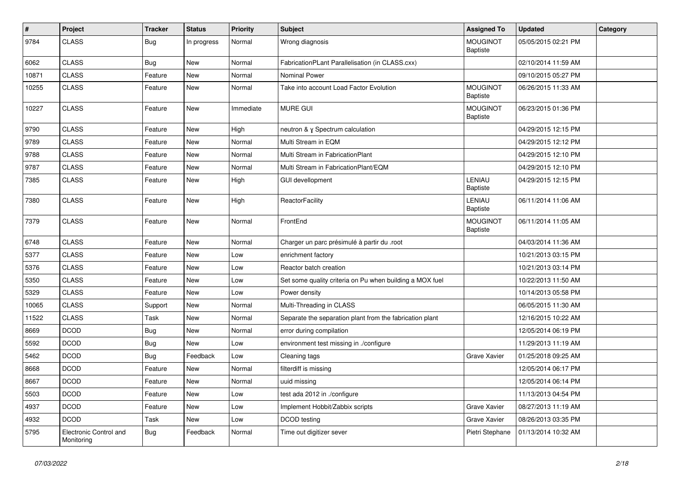| $\vert$ # | Project                              | <b>Tracker</b> | <b>Status</b> | <b>Priority</b> | <b>Subject</b>                                           | <b>Assigned To</b>                 | <b>Updated</b>      | Category |
|-----------|--------------------------------------|----------------|---------------|-----------------|----------------------------------------------------------|------------------------------------|---------------------|----------|
| 9784      | <b>CLASS</b>                         | <b>Bug</b>     | In progress   | Normal          | Wrong diagnosis                                          | <b>MOUGINOT</b><br>Baptiste        | 05/05/2015 02:21 PM |          |
| 6062      | <b>CLASS</b>                         | Bug            | <b>New</b>    | Normal          | FabricationPLant Parallelisation (in CLASS.cxx)          |                                    | 02/10/2014 11:59 AM |          |
| 10871     | <b>CLASS</b>                         | Feature        | New           | Normal          | Nominal Power                                            |                                    | 09/10/2015 05:27 PM |          |
| 10255     | <b>CLASS</b>                         | Feature        | New           | Normal          | Take into account Load Factor Evolution                  | <b>MOUGINOT</b><br><b>Baptiste</b> | 06/26/2015 11:33 AM |          |
| 10227     | <b>CLASS</b>                         | Feature        | <b>New</b>    | Immediate       | <b>MURE GUI</b>                                          | <b>MOUGINOT</b><br>Baptiste        | 06/23/2015 01:36 PM |          |
| 9790      | <b>CLASS</b>                         | Feature        | <b>New</b>    | High            | neutron & y Spectrum calculation                         |                                    | 04/29/2015 12:15 PM |          |
| 9789      | <b>CLASS</b>                         | Feature        | <b>New</b>    | Normal          | Multi Stream in EQM                                      |                                    | 04/29/2015 12:12 PM |          |
| 9788      | <b>CLASS</b>                         | Feature        | New           | Normal          | Multi Stream in FabricationPlant                         |                                    | 04/29/2015 12:10 PM |          |
| 9787      | <b>CLASS</b>                         | Feature        | New           | Normal          | Multi Stream in FabricationPlant/EQM                     |                                    | 04/29/2015 12:10 PM |          |
| 7385      | <b>CLASS</b>                         | Feature        | New           | High            | <b>GUI devellopment</b>                                  | LENIAU<br><b>Baptiste</b>          | 04/29/2015 12:15 PM |          |
| 7380      | <b>CLASS</b>                         | Feature        | <b>New</b>    | High            | ReactorFacility                                          | LENIAU<br>Baptiste                 | 06/11/2014 11:06 AM |          |
| 7379      | <b>CLASS</b>                         | Feature        | <b>New</b>    | Normal          | FrontEnd                                                 | <b>MOUGINOT</b><br><b>Baptiste</b> | 06/11/2014 11:05 AM |          |
| 6748      | <b>CLASS</b>                         | Feature        | <b>New</b>    | Normal          | Charger un parc présimulé à partir du .root              |                                    | 04/03/2014 11:36 AM |          |
| 5377      | <b>CLASS</b>                         | Feature        | New           | Low             | enrichment factory                                       |                                    | 10/21/2013 03:15 PM |          |
| 5376      | <b>CLASS</b>                         | Feature        | New           | Low             | Reactor batch creation                                   |                                    | 10/21/2013 03:14 PM |          |
| 5350      | <b>CLASS</b>                         | Feature        | New           | Low             | Set some quality criteria on Pu when building a MOX fuel |                                    | 10/22/2013 11:50 AM |          |
| 5329      | <b>CLASS</b>                         | Feature        | <b>New</b>    | Low             | Power density                                            |                                    | 10/14/2013 05:58 PM |          |
| 10065     | <b>CLASS</b>                         | Support        | New           | Normal          | Multi-Threading in CLASS                                 |                                    | 06/05/2015 11:30 AM |          |
| 11522     | <b>CLASS</b>                         | Task           | New           | Normal          | Separate the separation plant from the fabrication plant |                                    | 12/16/2015 10:22 AM |          |
| 8669      | <b>DCOD</b>                          | Bug            | <b>New</b>    | Normal          | error during compilation                                 |                                    | 12/05/2014 06:19 PM |          |
| 5592      | <b>DCOD</b>                          | <b>Bug</b>     | <b>New</b>    | Low             | environment test missing in ./configure                  |                                    | 11/29/2013 11:19 AM |          |
| 5462      | <b>DCOD</b>                          | <b>Bug</b>     | Feedback      | Low             | Cleaning tags                                            | Grave Xavier                       | 01/25/2018 09:25 AM |          |
| 8668      | <b>DCOD</b>                          | Feature        | New           | Normal          | filterdiff is missing                                    |                                    | 12/05/2014 06:17 PM |          |
| 8667      | <b>DCOD</b>                          | Feature        | New           | Normal          | uuid missing                                             |                                    | 12/05/2014 06:14 PM |          |
| 5503      | <b>DCOD</b>                          | Feature        | New           | Low             | test ada 2012 in ./configure                             |                                    | 11/13/2013 04:54 PM |          |
| 4937      | <b>DCOD</b>                          | Feature        | New           | Low             | Implement Hobbit/Zabbix scripts                          | Grave Xavier                       | 08/27/2013 11:19 AM |          |
| 4932      | <b>DCOD</b>                          | Task           | New           | Low             | DCOD testing                                             | Grave Xavier                       | 08/26/2013 03:35 PM |          |
| 5795      | Electronic Control and<br>Monitoring | <b>Bug</b>     | Feedback      | Normal          | Time out digitizer sever                                 | Pietri Stephane                    | 01/13/2014 10:32 AM |          |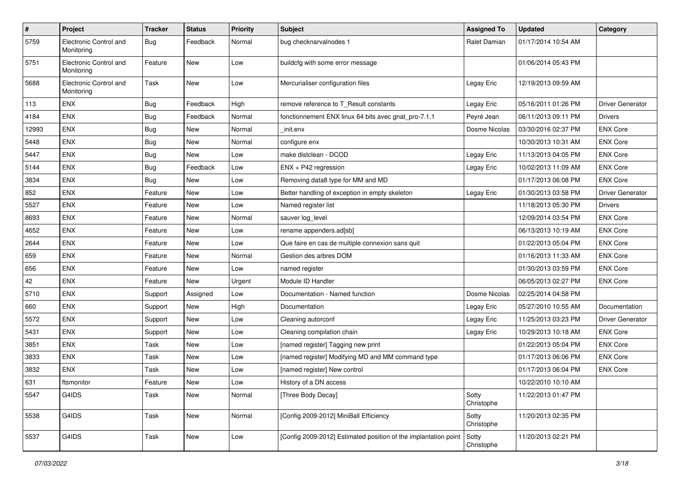| $\sharp$ | Project                              | <b>Tracker</b> | <b>Status</b> | <b>Priority</b> | <b>Subject</b>                                                  | <b>Assigned To</b>  | <b>Updated</b>      | Category                |
|----------|--------------------------------------|----------------|---------------|-----------------|-----------------------------------------------------------------|---------------------|---------------------|-------------------------|
| 5759     | Electronic Control and<br>Monitoring | Bug            | Feedback      | Normal          | bug checknarvalnodes 1                                          | Ralet Damian        | 01/17/2014 10:54 AM |                         |
| 5751     | Electronic Control and<br>Monitoring | Feature        | <b>New</b>    | Low             | buildcfg with some error message                                |                     | 01/06/2014 05:43 PM |                         |
| 5688     | Electronic Control and<br>Monitoring | Task           | <b>New</b>    | Low             | Mercurialiser configuration files                               | Legay Eric          | 12/19/2013 09:59 AM |                         |
| 113      | <b>ENX</b>                           | Bug            | Feedback      | High            | remove reference to T_Result constants                          | Legay Eric          | 05/16/2011 01:26 PM | Driver Generator        |
| 4184     | ENX                                  | Bug            | Feedback      | Normal          | fonctionnement ENX linux 64 bits avec gnat_pro-7.1.1            | Peyré Jean          | 06/11/2013 09:11 PM | <b>Drivers</b>          |
| 12993    | ENX                                  | <b>Bug</b>     | New           | Normal          | init.enx                                                        | Dosme Nicolas       | 03/30/2016 02:37 PM | <b>ENX Core</b>         |
| 5448     | ENX                                  | <b>Bug</b>     | <b>New</b>    | Normal          | configure enx                                                   |                     | 10/30/2013 10:31 AM | <b>ENX Core</b>         |
| 5447     | <b>ENX</b>                           | <b>Bug</b>     | New           | Low             | make distclean - DCOD                                           | Legay Eric          | 11/13/2013 04:05 PM | <b>ENX Core</b>         |
| 5144     | <b>ENX</b>                           | Bug            | Feedback      | Low             | ENX + P42 regression                                            | Legay Eric          | 10/02/2013 11:09 AM | <b>ENX Core</b>         |
| 3834     | ENX                                  | Bug            | New           | Low             | Removing data8 type for MM and MD                               |                     | 01/17/2013 06:08 PM | <b>ENX Core</b>         |
| 852      | ENX                                  | Feature        | <b>New</b>    | Low             | Better handling of exception in empty skeleton                  | Legay Eric          | 01/30/2013 03:58 PM | Driver Generator        |
| 5527     | ENX                                  | Feature        | <b>New</b>    | Low             | Named register list                                             |                     | 11/18/2013 05:30 PM | <b>Drivers</b>          |
| 8693     | ENX                                  | Feature        | New           | Normal          | sauver log_level                                                |                     | 12/09/2014 03:54 PM | <b>ENX Core</b>         |
| 4652     | <b>ENX</b>                           | Feature        | New           | Low             | rename appenders.ad[sb]                                         |                     | 06/13/2013 10:19 AM | <b>ENX Core</b>         |
| 2644     | ENX                                  | Feature        | <b>New</b>    | Low             | Que faire en cas de multiple connexion sans quit                |                     | 01/22/2013 05:04 PM | <b>ENX Core</b>         |
| 659      | <b>ENX</b>                           | Feature        | New           | Normal          | Gestion des arbres DOM                                          |                     | 01/16/2013 11:33 AM | <b>ENX Core</b>         |
| 656      | <b>ENX</b>                           | Feature        | <b>New</b>    | Low             | named register                                                  |                     | 01/30/2013 03:59 PM | <b>ENX Core</b>         |
| 42       | <b>ENX</b>                           | Feature        | New           | Urgent          | Module ID Handler                                               |                     | 06/05/2013 02:27 PM | <b>ENX Core</b>         |
| 5710     | ENX                                  | Support        | Assigned      | Low             | Documentation - Named function                                  | Dosme Nicolas       | 02/25/2014 04:58 PM |                         |
| 660      | <b>ENX</b>                           | Support        | <b>New</b>    | High            | Documentation                                                   | Legay Eric          | 05/27/2010 10:55 AM | Documentation           |
| 5572     | <b>ENX</b>                           | Support        | New           | Low             | Cleaning autorconf                                              | Legay Eric          | 11/25/2013 03:23 PM | <b>Driver Generator</b> |
| 5431     | <b>ENX</b>                           | Support        | <b>New</b>    | Low             | Cleaning compilation chain                                      | Legay Eric          | 10/29/2013 10:18 AM | <b>ENX Core</b>         |
| 3851     | ENX                                  | Task           | New           | Low             | [named register] Tagging new print                              |                     | 01/22/2013 05:04 PM | <b>ENX Core</b>         |
| 3833     | ENX                                  | Task           | New           | Low             | [named register] Modifying MD and MM command type               |                     | 01/17/2013 06:06 PM | <b>ENX Core</b>         |
| 3832     | <b>ENX</b>                           | Task           | <b>New</b>    | Low             | [named register] New control                                    |                     | 01/17/2013 06:04 PM | <b>ENX Core</b>         |
| 631      | ftsmonitor                           | Feature        | New           | Low             | History of a DN access                                          |                     | 10/22/2010 10:10 AM |                         |
| 5547     | G4IDS                                | Task           | New           | Normal          | [Three Body Decay]                                              | Sotty<br>Christophe | 11/22/2013 01:47 PM |                         |
| 5538     | G4IDS                                | Task           | New           | Normal          | [Config 2009-2012] MiniBall Efficiency                          | Sotty<br>Christophe | 11/20/2013 02:35 PM |                         |
| 5537     | G4IDS                                | Task           | New           | Low             | [Config 2009-2012] Estimated position of the implantation point | Sotty<br>Christophe | 11/20/2013 02:21 PM |                         |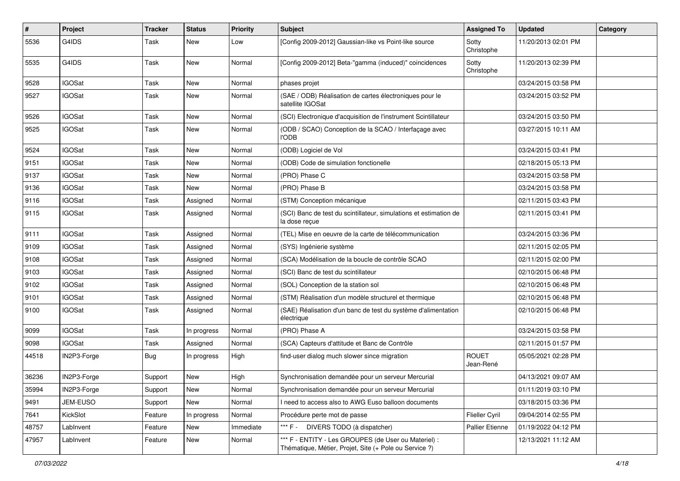| $\vert$ # | Project       | <b>Tracker</b> | <b>Status</b> | <b>Priority</b> | <b>Subject</b>                                                                                                 | <b>Assigned To</b>        | <b>Updated</b>      | Category |
|-----------|---------------|----------------|---------------|-----------------|----------------------------------------------------------------------------------------------------------------|---------------------------|---------------------|----------|
| 5536      | G4IDS         | Task           | New           | Low             | [Config 2009-2012] Gaussian-like vs Point-like source                                                          | Sotty<br>Christophe       | 11/20/2013 02:01 PM |          |
| 5535      | G4IDS         | Task           | <b>New</b>    | Normal          | [Config 2009-2012] Beta-"gamma (induced)" coincidences                                                         | Sotty<br>Christophe       | 11/20/2013 02:39 PM |          |
| 9528      | <b>IGOSat</b> | Task           | <b>New</b>    | Normal          | phases projet                                                                                                  |                           | 03/24/2015 03:58 PM |          |
| 9527      | <b>IGOSat</b> | Task           | <b>New</b>    | Normal          | (SAE / ODB) Réalisation de cartes électroniques pour le<br>satellite IGOSat                                    |                           | 03/24/2015 03:52 PM |          |
| 9526      | <b>IGOSat</b> | Task           | <b>New</b>    | Normal          | (SCI) Electronique d'acquisition de l'instrument Scintillateur                                                 |                           | 03/24/2015 03:50 PM |          |
| 9525      | <b>IGOSat</b> | Task           | New           | Normal          | (ODB / SCAO) Conception de la SCAO / Interfaçage avec<br><b>l'ODB</b>                                          |                           | 03/27/2015 10:11 AM |          |
| 9524      | <b>IGOSat</b> | Task           | <b>New</b>    | Normal          | (ODB) Logiciel de Vol                                                                                          |                           | 03/24/2015 03:41 PM |          |
| 9151      | <b>IGOSat</b> | Task           | New           | Normal          | (ODB) Code de simulation fonctionelle                                                                          |                           | 02/18/2015 05:13 PM |          |
| 9137      | <b>IGOSat</b> | Task           | <b>New</b>    | Normal          | (PRO) Phase C                                                                                                  |                           | 03/24/2015 03:58 PM |          |
| 9136      | <b>IGOSat</b> | Task           | <b>New</b>    | Normal          | (PRO) Phase B                                                                                                  |                           | 03/24/2015 03:58 PM |          |
| 9116      | <b>IGOSat</b> | Task           | Assigned      | Normal          | (STM) Conception mécanique                                                                                     |                           | 02/11/2015 03:43 PM |          |
| 9115      | <b>IGOSat</b> | Task           | Assigned      | Normal          | (SCI) Banc de test du scintillateur, simulations et estimation de<br>la dose reçue                             |                           | 02/11/2015 03:41 PM |          |
| 9111      | <b>IGOSat</b> | Task           | Assigned      | Normal          | (TEL) Mise en oeuvre de la carte de télécommunication                                                          |                           | 03/24/2015 03:36 PM |          |
| 9109      | <b>IGOSat</b> | Task           | Assigned      | Normal          | (SYS) Ingénierie système                                                                                       |                           | 02/11/2015 02:05 PM |          |
| 9108      | <b>IGOSat</b> | Task           | Assigned      | Normal          | (SCA) Modélisation de la boucle de contrôle SCAO                                                               |                           | 02/11/2015 02:00 PM |          |
| 9103      | <b>IGOSat</b> | Task           | Assigned      | Normal          | (SCI) Banc de test du scintillateur                                                                            |                           | 02/10/2015 06:48 PM |          |
| 9102      | <b>IGOSat</b> | Task           | Assigned      | Normal          | (SOL) Conception de la station sol                                                                             |                           | 02/10/2015 06:48 PM |          |
| 9101      | <b>IGOSat</b> | Task           | Assigned      | Normal          | (STM) Réalisation d'un modèle structurel et thermique                                                          |                           | 02/10/2015 06:48 PM |          |
| 9100      | <b>IGOSat</b> | Task           | Assigned      | Normal          | (SAE) Réalisation d'un banc de test du système d'alimentation<br>électrique                                    |                           | 02/10/2015 06:48 PM |          |
| 9099      | <b>IGOSat</b> | Task           | In progress   | Normal          | (PRO) Phase A                                                                                                  |                           | 03/24/2015 03:58 PM |          |
| 9098      | <b>IGOSat</b> | Task           | Assigned      | Normal          | (SCA) Capteurs d'attitude et Banc de Contrôle                                                                  |                           | 02/11/2015 01:57 PM |          |
| 44518     | IN2P3-Forge   | <b>Bug</b>     | In progress   | High            | find-user dialog much slower since migration                                                                   | <b>ROUET</b><br>Jean-René | 05/05/2021 02:28 PM |          |
| 36236     | IN2P3-Forge   | Support        | New           | High            | Synchronisation demandée pour un serveur Mercurial                                                             |                           | 04/13/2021 09:07 AM |          |
| 35994     | IN2P3-Forge   | Support        | New           | Normal          | Synchronisation demandée pour un serveur Mercurial                                                             |                           | 01/11/2019 03:10 PM |          |
| 9491      | JEM-EUSO      | Support        | New           | Normal          | I need to access also to AWG Euso balloon documents                                                            |                           | 03/18/2015 03:36 PM |          |
| 7641      | KickSlot      | Feature        | In progress   | Normal          | Procédure perte mot de passe                                                                                   | Flieller Cyril            | 09/04/2014 02:55 PM |          |
| 48757     | LabInvent     | Feature        | New           | Immediate       | *** F -<br>DIVERS TODO (à dispatcher)                                                                          | Pallier Etienne           | 01/19/2022 04:12 PM |          |
| 47957     | LabInvent     | Feature        | New           | Normal          | *** F - ENTITY - Les GROUPES (de User ou Materiel) :<br>Thématique, Métier, Projet, Site (+ Pole ou Service ?) |                           | 12/13/2021 11:12 AM |          |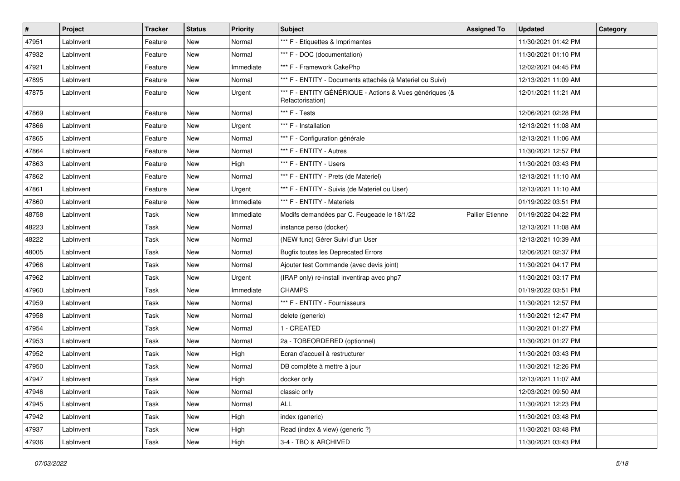| #     | Project   | <b>Tracker</b> | <b>Status</b> | <b>Priority</b> | <b>Subject</b>                                                              | <b>Assigned To</b> | <b>Updated</b>      | Category |
|-------|-----------|----------------|---------------|-----------------|-----------------------------------------------------------------------------|--------------------|---------------------|----------|
| 47951 | LabInvent | Feature        | New           | Normal          | *** F - Etiquettes & Imprimantes                                            |                    | 11/30/2021 01:42 PM |          |
| 47932 | LabInvent | Feature        | New           | Normal          | *** F - DOC (documentation)                                                 |                    | 11/30/2021 01:10 PM |          |
| 47921 | LabInvent | Feature        | New           | Immediate       | *** F - Framework CakePhp                                                   |                    | 12/02/2021 04:45 PM |          |
| 47895 | LabInvent | Feature        | <b>New</b>    | Normal          | *** F - ENTITY - Documents attachés (à Materiel ou Suivi)                   |                    | 12/13/2021 11:09 AM |          |
| 47875 | LabInvent | Feature        | New           | Urgent          | *** F - ENTITY GÉNÉRIQUE - Actions & Vues génériques (&<br>Refactorisation) |                    | 12/01/2021 11:21 AM |          |
| 47869 | LabInvent | Feature        | <b>New</b>    | Normal          | *** F - Tests                                                               |                    | 12/06/2021 02:28 PM |          |
| 47866 | LabInvent | Feature        | New           | Urgent          | *** F - Installation                                                        |                    | 12/13/2021 11:08 AM |          |
| 47865 | LabInvent | Feature        | New           | Normal          | *** F - Configuration générale                                              |                    | 12/13/2021 11:06 AM |          |
| 47864 | LabInvent | Feature        | <b>New</b>    | Normal          | *** F - ENTITY - Autres                                                     |                    | 11/30/2021 12:57 PM |          |
| 47863 | LabInvent | Feature        | New           | High            | *** F - ENTITY - Users                                                      |                    | 11/30/2021 03:43 PM |          |
| 47862 | LabInvent | Feature        | <b>New</b>    | Normal          | *** F - ENTITY - Prets (de Materiel)                                        |                    | 12/13/2021 11:10 AM |          |
| 47861 | LabInvent | Feature        | New           | Urgent          | *** F - ENTITY - Suivis (de Materiel ou User)                               |                    | 12/13/2021 11:10 AM |          |
| 47860 | LabInvent | Feature        | <b>New</b>    | Immediate       | *** F - ENTITY - Materiels                                                  |                    | 01/19/2022 03:51 PM |          |
| 48758 | LabInvent | <b>Task</b>    | <b>New</b>    | Immediate       | Modifs demandées par C. Feugeade le 18/1/22                                 | Pallier Etienne    | 01/19/2022 04:22 PM |          |
| 48223 | LabInvent | Task           | New           | Normal          | instance perso (docker)                                                     |                    | 12/13/2021 11:08 AM |          |
| 48222 | LabInvent | <b>Task</b>    | New           | Normal          | (NEW func) Gérer Suivi d'un User                                            |                    | 12/13/2021 10:39 AM |          |
| 48005 | LabInvent | Task           | New           | Normal          | <b>Bugfix toutes les Deprecated Errors</b>                                  |                    | 12/06/2021 02:37 PM |          |
| 47966 | LabInvent | Task           | <b>New</b>    | Normal          | Ajouter test Commande (avec devis joint)                                    |                    | 11/30/2021 04:17 PM |          |
| 47962 | LabInvent | Task           | <b>New</b>    | Urgent          | (IRAP only) re-install inventirap avec php7                                 |                    | 11/30/2021 03:17 PM |          |
| 47960 | LabInvent | Task           | New           | Immediate       | <b>CHAMPS</b>                                                               |                    | 01/19/2022 03:51 PM |          |
| 47959 | LabInvent | Task           | New           | Normal          | *** F - ENTITY - Fournisseurs                                               |                    | 11/30/2021 12:57 PM |          |
| 47958 | LabInvent | Task           | <b>New</b>    | Normal          | delete (generic)                                                            |                    | 11/30/2021 12:47 PM |          |
| 47954 | LabInvent | Task           | New           | Normal          | 1 - CREATED                                                                 |                    | 11/30/2021 01:27 PM |          |
| 47953 | LabInvent | <b>Task</b>    | <b>New</b>    | Normal          | 2a - TOBEORDERED (optionnel)                                                |                    | 11/30/2021 01:27 PM |          |
| 47952 | LabInvent | Task           | New           | High            | Ecran d'accueil à restructurer                                              |                    | 11/30/2021 03:43 PM |          |
| 47950 | LabInvent | Task           | New           | Normal          | DB complète à mettre à jour                                                 |                    | 11/30/2021 12:26 PM |          |
| 47947 | LabInvent | Task           | <b>New</b>    | High            | docker only                                                                 |                    | 12/13/2021 11:07 AM |          |
| 47946 | LabInvent | Task           | New           | Normal          | classic only                                                                |                    | 12/03/2021 09:50 AM |          |
| 47945 | LabInvent | Task           | <b>New</b>    | Normal          | ALL                                                                         |                    | 11/30/2021 12:23 PM |          |
| 47942 | LabInvent | Task           | <b>New</b>    | High            | index (generic)                                                             |                    | 11/30/2021 03:48 PM |          |
| 47937 | LabInvent | Task           | New           | High            | Read (index & view) (generic ?)                                             |                    | 11/30/2021 03:48 PM |          |
| 47936 | LabInvent | Task           | New           | High            | 3-4 - TBO & ARCHIVED                                                        |                    | 11/30/2021 03:43 PM |          |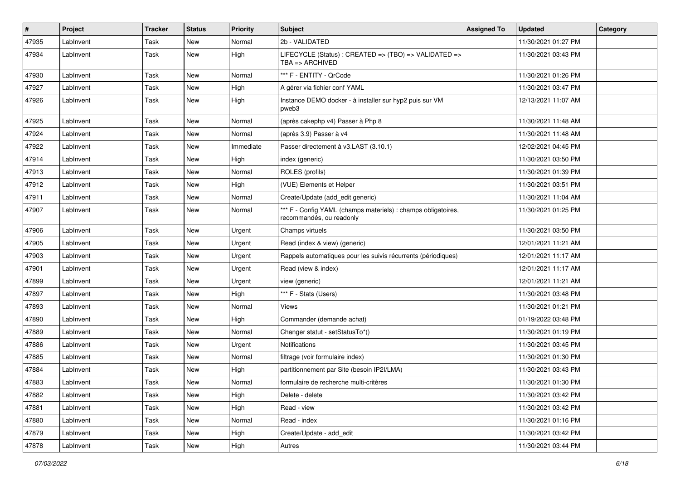| $\vert$ # | <b>Project</b> | <b>Tracker</b> | <b>Status</b> | <b>Priority</b> | <b>Subject</b>                                                                            | <b>Assigned To</b> | <b>Updated</b>      | Category |
|-----------|----------------|----------------|---------------|-----------------|-------------------------------------------------------------------------------------------|--------------------|---------------------|----------|
| 47935     | LabInvent      | Task           | <b>New</b>    | Normal          | 2b - VALIDATED                                                                            |                    | 11/30/2021 01:27 PM |          |
| 47934     | LabInvent      | Task           | New           | High            | LIFECYCLE (Status) : CREATED => (TBO) => VALIDATED =><br>$TBA \equiv > ARCHIVED$          |                    | 11/30/2021 03:43 PM |          |
| 47930     | LabInvent      | Task           | New           | Normal          | *** F - ENTITY - QrCode                                                                   |                    | 11/30/2021 01:26 PM |          |
| 47927     | LabInvent      | Task           | New           | High            | A gérer via fichier conf YAML                                                             |                    | 11/30/2021 03:47 PM |          |
| 47926     | LabInvent      | Task           | <b>New</b>    | High            | Instance DEMO docker - à installer sur hyp2 puis sur VM<br>pweb3                          |                    | 12/13/2021 11:07 AM |          |
| 47925     | LabInvent      | Task           | New           | Normal          | (après cakephp v4) Passer à Php 8                                                         |                    | 11/30/2021 11:48 AM |          |
| 47924     | LabInvent      | Task           | <b>New</b>    | Normal          | (après 3.9) Passer à v4                                                                   |                    | 11/30/2021 11:48 AM |          |
| 47922     | LabInvent      | Task           | New           | Immediate       | Passer directement à v3.LAST (3.10.1)                                                     |                    | 12/02/2021 04:45 PM |          |
| 47914     | LabInvent      | Task           | <b>New</b>    | High            | index (generic)                                                                           |                    | 11/30/2021 03:50 PM |          |
| 47913     | LabInvent      | Task           | <b>New</b>    | Normal          | ROLES (profils)                                                                           |                    | 11/30/2021 01:39 PM |          |
| 47912     | LabInvent      | Task           | New           | High            | (VUE) Elements et Helper                                                                  |                    | 11/30/2021 03:51 PM |          |
| 47911     | LabInvent      | Task           | <b>New</b>    | Normal          | Create/Update (add_edit generic)                                                          |                    | 11/30/2021 11:04 AM |          |
| 47907     | LabInvent      | Task           | New           | Normal          | *** F - Config YAML (champs materiels) : champs obligatoires,<br>recommandés, ou readonly |                    | 11/30/2021 01:25 PM |          |
| 47906     | LabInvent      | Task           | New           | Urgent          | Champs virtuels                                                                           |                    | 11/30/2021 03:50 PM |          |
| 47905     | Lablnvent      | Task           | New           | Urgent          | Read (index & view) (generic)                                                             |                    | 12/01/2021 11:21 AM |          |
| 47903     | LabInvent      | Task           | <b>New</b>    | Urgent          | Rappels automatiques pour les suivis récurrents (périodiques)                             |                    | 12/01/2021 11:17 AM |          |
| 47901     | LabInvent      | Task           | <b>New</b>    | Urgent          | Read (view & index)                                                                       |                    | 12/01/2021 11:17 AM |          |
| 47899     | LabInvent      | Task           | New           | Urgent          | view (generic)                                                                            |                    | 12/01/2021 11:21 AM |          |
| 47897     | LabInvent      | Task           | <b>New</b>    | High            | *** F - Stats (Users)                                                                     |                    | 11/30/2021 03:48 PM |          |
| 47893     | LabInvent      | Task           | <b>New</b>    | Normal          | Views                                                                                     |                    | 11/30/2021 01:21 PM |          |
| 47890     | LabInvent      | Task           | <b>New</b>    | High            | Commander (demande achat)                                                                 |                    | 01/19/2022 03:48 PM |          |
| 47889     | LabInvent      | Task           | <b>New</b>    | Normal          | Changer statut - setStatusTo*()                                                           |                    | 11/30/2021 01:19 PM |          |
| 47886     | LabInvent      | Task           | New           | Urgent          | Notifications                                                                             |                    | 11/30/2021 03:45 PM |          |
| 47885     | LabInvent      | Task           | <b>New</b>    | Normal          | filtrage (voir formulaire index)                                                          |                    | 11/30/2021 01:30 PM |          |
| 47884     | LabInvent      | Task           | <b>New</b>    | High            | partitionnement par Site (besoin IP2I/LMA)                                                |                    | 11/30/2021 03:43 PM |          |
| 47883     | LabInvent      | Task           | New           | Normal          | formulaire de recherche multi-critères                                                    |                    | 11/30/2021 01:30 PM |          |
| 47882     | LabInvent      | Task           | New           | High            | Delete - delete                                                                           |                    | 11/30/2021 03:42 PM |          |
| 47881     | LabInvent      | Task           | New           | High            | Read - view                                                                               |                    | 11/30/2021 03:42 PM |          |
| 47880     | LabInvent      | Task           | New           | Normal          | Read - index                                                                              |                    | 11/30/2021 01:16 PM |          |
| 47879     | LabInvent      | Task           | New           | High            | Create/Update - add_edit                                                                  |                    | 11/30/2021 03:42 PM |          |
| 47878     | LabInvent      | Task           | New           | High            | Autres                                                                                    |                    | 11/30/2021 03:44 PM |          |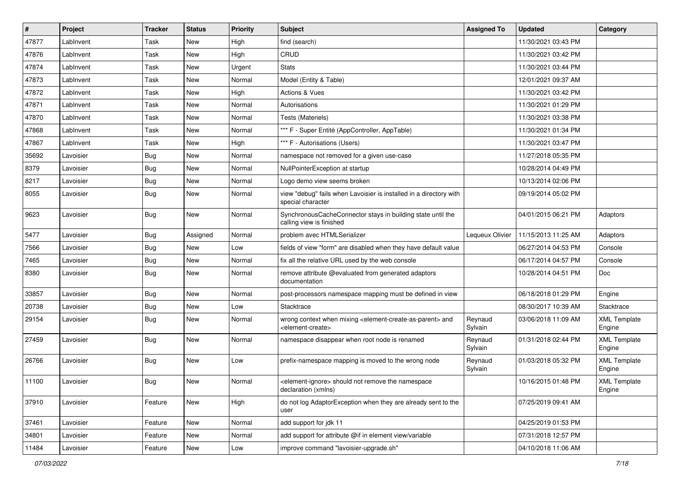| $\vert$ # | Project   | <b>Tracker</b> | <b>Status</b> | <b>Priority</b> | Subject                                                                                                                   | <b>Assigned To</b> | <b>Updated</b>      | Category                      |
|-----------|-----------|----------------|---------------|-----------------|---------------------------------------------------------------------------------------------------------------------------|--------------------|---------------------|-------------------------------|
| 47877     | LabInvent | Task           | New           | High            | find (search)                                                                                                             |                    | 11/30/2021 03:43 PM |                               |
| 47876     | LabInvent | Task           | <b>New</b>    | High            | CRUD                                                                                                                      |                    | 11/30/2021 03:42 PM |                               |
| 47874     | LabInvent | Task           | New           | Urgent          | <b>Stats</b>                                                                                                              |                    | 11/30/2021 03:44 PM |                               |
| 47873     | LabInvent | Task           | <b>New</b>    | Normal          | Model (Entity & Table)                                                                                                    |                    | 12/01/2021 09:37 AM |                               |
| 47872     | LabInvent | Task           | New           | High            | <b>Actions &amp; Vues</b>                                                                                                 |                    | 11/30/2021 03:42 PM |                               |
| 47871     | LabInvent | Task           | <b>New</b>    | Normal          | Autorisations                                                                                                             |                    | 11/30/2021 01:29 PM |                               |
| 47870     | LabInvent | Task           | <b>New</b>    | Normal          | Tests (Materiels)                                                                                                         |                    | 11/30/2021 03:38 PM |                               |
| 47868     | LabInvent | Task           | <b>New</b>    | Normal          | *** F - Super Entité (AppController, AppTable)                                                                            |                    | 11/30/2021 01:34 PM |                               |
| 47867     | LabInvent | Task           | <b>New</b>    | High            | *** F - Autorisations (Users)                                                                                             |                    | 11/30/2021 03:47 PM |                               |
| 35692     | Lavoisier | Bug            | <b>New</b>    | Normal          | namespace not removed for a given use-case                                                                                |                    | 11/27/2018 05:35 PM |                               |
| 8379      | Lavoisier | <b>Bug</b>     | New           | Normal          | NullPointerException at startup                                                                                           |                    | 10/28/2014 04:49 PM |                               |
| 8217      | Lavoisier | <b>Bug</b>     | <b>New</b>    | Normal          | Logo demo view seems broken                                                                                               |                    | 10/13/2014 02:06 PM |                               |
| 8055      | Lavoisier | <b>Bug</b>     | New           | Normal          | view "debug" fails when Lavoisier is installed in a directory with<br>special character                                   |                    | 09/19/2014 05:02 PM |                               |
| 9623      | Lavoisier | <b>Bug</b>     | <b>New</b>    | Normal          | SynchronousCacheConnector stays in building state until the<br>calling view is finished                                   |                    | 04/01/2015 06:21 PM | Adaptors                      |
| 5477      | Lavoisier | Bug            | Assigned      | Normal          | problem avec HTMLSerializer                                                                                               | Lequeux Olivier    | 11/15/2013 11:25 AM | Adaptors                      |
| 7566      | Lavoisier | <b>Bug</b>     | <b>New</b>    | Low             | fields of view "form" are disabled when they have default value                                                           |                    | 06/27/2014 04:53 PM | Console                       |
| 7465      | Lavoisier | <b>Bug</b>     | New           | Normal          | fix all the relative URL used by the web console                                                                          |                    | 06/17/2014 04:57 PM | Console                       |
| 8380      | Lavoisier | Bug            | New           | Normal          | remove attribute @evaluated from generated adaptors<br>documentation                                                      |                    | 10/28/2014 04:51 PM | Doc                           |
| 33857     | Lavoisier | Bug            | <b>New</b>    | Normal          | post-processors namespace mapping must be defined in view                                                                 |                    | 06/18/2018 01:29 PM | Engine                        |
| 20738     | Lavoisier | Bug            | <b>New</b>    | Low             | Stacktrace                                                                                                                |                    | 08/30/2017 10:39 AM | Stacktrace                    |
| 29154     | Lavoisier | Bug            | <b>New</b>    | Normal          | wrong context when mixing <element-create-as-parent> and<br/><element-create></element-create></element-create-as-parent> | Reynaud<br>Sylvain | 03/06/2018 11:09 AM | <b>XML Template</b><br>Engine |
| 27459     | Lavoisier | <b>Bug</b>     | <b>New</b>    | Normal          | namespace disappear when root node is renamed                                                                             | Reynaud<br>Sylvain | 01/31/2018 02:44 PM | <b>XML Template</b><br>Engine |
| 26766     | Lavoisier | Bug            | New           | Low             | prefix-namespace mapping is moved to the wrong node                                                                       | Reynaud<br>Sylvain | 01/03/2018 05:32 PM | <b>XML Template</b><br>Engine |
| 11100     | Lavoisier | <b>Bug</b>     | New           | Normal          | element-ignore> should not remove the namespace><br>declaration (xmlns)                                                   |                    | 10/16/2015 01:48 PM | <b>XML Template</b><br>Engine |
| 37910     | Lavoisier | Feature        | New           | High            | do not log AdaptorException when they are already sent to the<br>user                                                     |                    | 07/25/2019 09:41 AM |                               |
| 37461     | Lavoisier | Feature        | New           | Normal          | add support for jdk 11                                                                                                    |                    | 04/25/2019 01:53 PM |                               |
| 34801     | Lavoisier | Feature        | New           | Normal          | add support for attribute @if in element view/variable                                                                    |                    | 07/31/2018 12:57 PM |                               |
| 11484     | Lavoisier | Feature        | New           | Low             | improve command "lavoisier-upgrade.sh"                                                                                    |                    | 04/10/2018 11:06 AM |                               |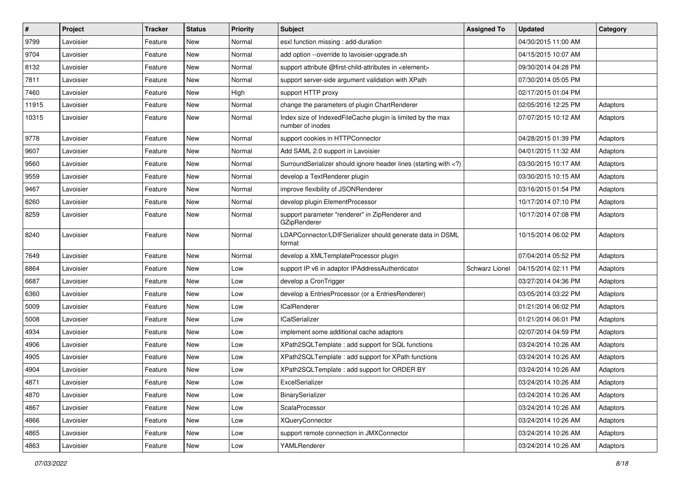| $\sharp$ | Project   | <b>Tracker</b> | <b>Status</b> | <b>Priority</b> | Subject                                                                                                                     | <b>Assigned To</b> | <b>Updated</b>      | Category |
|----------|-----------|----------------|---------------|-----------------|-----------------------------------------------------------------------------------------------------------------------------|--------------------|---------------------|----------|
| 9799     | Lavoisier | Feature        | New           | Normal          | esxl function missing : add-duration                                                                                        |                    | 04/30/2015 11:00 AM |          |
| 9704     | Lavoisier | Feature        | <b>New</b>    | Normal          | add option --override to lavoisier-upgrade.sh                                                                               |                    | 04/15/2015 10:07 AM |          |
| 8132     | Lavoisier | Feature        | New           | Normal          | support attribute @first-child-attributes in <element></element>                                                            |                    | 09/30/2014 04:28 PM |          |
| 7811     | Lavoisier | Feature        | New           | Normal          | support server-side argument validation with XPath                                                                          |                    | 07/30/2014 05:05 PM |          |
| 7460     | Lavoisier | Feature        | New           | High            | support HTTP proxy                                                                                                          |                    | 02/17/2015 01:04 PM |          |
| 11915    | Lavoisier | Feature        | New           | Normal          | change the parameters of plugin ChartRenderer                                                                               |                    | 02/05/2016 12:25 PM | Adaptors |
| 10315    | Lavoisier | Feature        | New           | Normal          | Index size of IndexedFileCache plugin is limited by the max<br>number of inodes                                             |                    | 07/07/2015 10:12 AM | Adaptors |
| 9778     | Lavoisier | Feature        | New           | Normal          | support cookies in HTTPConnector                                                                                            |                    | 04/28/2015 01:39 PM | Adaptors |
| 9607     | Lavoisier | Feature        | <b>New</b>    | Normal          | Add SAML 2.0 support in Lavoisier                                                                                           |                    | 04/01/2015 11:32 AM | Adaptors |
| 9560     | Lavoisier | Feature        | New           | Normal          | SurroundSerializer should ignore header lines (starting with )</td <td></td> <td>03/30/2015 10:17 AM</td> <td>Adaptors</td> |                    | 03/30/2015 10:17 AM | Adaptors |
| 9559     | Lavoisier | Feature        | New           | Normal          | develop a TextRenderer plugin                                                                                               |                    | 03/30/2015 10:15 AM | Adaptors |
| 9467     | Lavoisier | Feature        | New           | Normal          | improve flexibility of JSONRenderer                                                                                         |                    | 03/16/2015 01:54 PM | Adaptors |
| 8260     | Lavoisier | Feature        | New           | Normal          | develop plugin ElementProcessor                                                                                             |                    | 10/17/2014 07:10 PM | Adaptors |
| 8259     | Lavoisier | Feature        | New           | Normal          | support parameter "renderer" in ZipRenderer and<br>GZipRenderer                                                             |                    | 10/17/2014 07:08 PM | Adaptors |
| 8240     | Lavoisier | Feature        | New           | Normal          | LDAPConnector/LDIFSerializer should generate data in DSML<br>format                                                         |                    | 10/15/2014 06:02 PM | Adaptors |
| 7649     | Lavoisier | Feature        | New           | Normal          | develop a XMLTemplateProcessor plugin                                                                                       |                    | 07/04/2014 05:52 PM | Adaptors |
| 6864     | Lavoisier | Feature        | New           | Low             | support IP v6 in adaptor IPAddressAuthenticator                                                                             | Schwarz Lionel     | 04/15/2014 02:11 PM | Adaptors |
| 6687     | Lavoisier | Feature        | New           | Low             | develop a CronTrigger                                                                                                       |                    | 03/27/2014 04:36 PM | Adaptors |
| 6360     | Lavoisier | Feature        | New           | Low             | develop a EntriesProcessor (or a EntriesRenderer)                                                                           |                    | 03/05/2014 03:22 PM | Adaptors |
| 5009     | Lavoisier | Feature        | <b>New</b>    | Low             | <b>ICalRenderer</b>                                                                                                         |                    | 01/21/2014 06:02 PM | Adaptors |
| 5008     | Lavoisier | Feature        | New           | Low             | <b>ICalSerializer</b>                                                                                                       |                    | 01/21/2014 06:01 PM | Adaptors |
| 4934     | Lavoisier | Feature        | New           | Low             | implement some additional cache adaptors                                                                                    |                    | 02/07/2014 04:59 PM | Adaptors |
| 4906     | Lavoisier | Feature        | New           | Low             | XPath2SQLTemplate : add support for SQL functions                                                                           |                    | 03/24/2014 10:26 AM | Adaptors |
| 4905     | Lavoisier | Feature        | New           | Low             | XPath2SQLTemplate: add support for XPath functions                                                                          |                    | 03/24/2014 10:26 AM | Adaptors |
| 4904     | Lavoisier | Feature        | New           | Low             | XPath2SQLTemplate : add support for ORDER BY                                                                                |                    | 03/24/2014 10:26 AM | Adaptors |
| 4871     | Lavoisier | Feature        | New           | Low             | ExcelSerializer                                                                                                             |                    | 03/24/2014 10:26 AM | Adaptors |
| 4870     | Lavoisier | Feature        | New           | Low             | BinarySerializer                                                                                                            |                    | 03/24/2014 10:26 AM | Adaptors |
| 4867     | Lavoisier | Feature        | New           | Low             | ScalaProcessor                                                                                                              |                    | 03/24/2014 10:26 AM | Adaptors |
| 4866     | Lavoisier | Feature        | New           | Low             | <b>XQueryConnector</b>                                                                                                      |                    | 03/24/2014 10:26 AM | Adaptors |
| 4865     | Lavoisier | Feature        | New           | Low             | support remote connection in JMXConnector                                                                                   |                    | 03/24/2014 10:26 AM | Adaptors |
| 4863     | Lavoisier | Feature        | New           | Low             | YAMLRenderer                                                                                                                |                    | 03/24/2014 10:26 AM | Adaptors |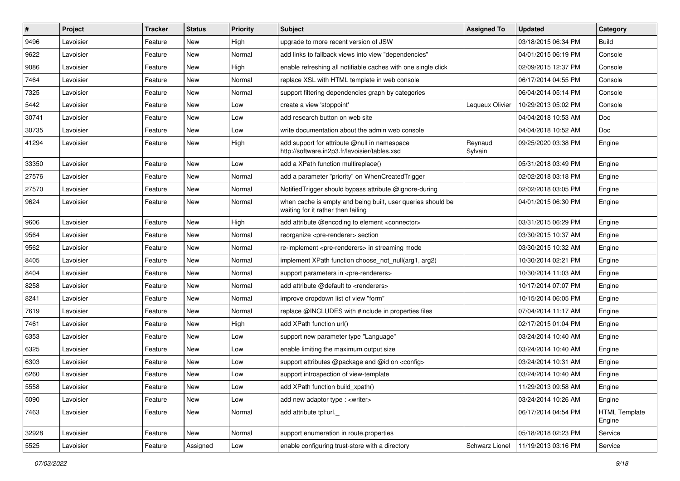| #     | Project   | <b>Tracker</b> | <b>Status</b> | <b>Priority</b> | Subject                                                                                           | <b>Assigned To</b> | <b>Updated</b>      | Category                       |
|-------|-----------|----------------|---------------|-----------------|---------------------------------------------------------------------------------------------------|--------------------|---------------------|--------------------------------|
| 9496  | Lavoisier | Feature        | New           | High            | upgrade to more recent version of JSW                                                             |                    | 03/18/2015 06:34 PM | <b>Build</b>                   |
| 9622  | Lavoisier | Feature        | New           | Normal          | add links to fallback views into view "dependencies"                                              |                    | 04/01/2015 06:19 PM | Console                        |
| 9086  | Lavoisier | Feature        | New           | High            | enable refreshing all notifiable caches with one single click                                     |                    | 02/09/2015 12:37 PM | Console                        |
| 7464  | Lavoisier | Feature        | New           | Normal          | replace XSL with HTML template in web console                                                     |                    | 06/17/2014 04:55 PM | Console                        |
| 7325  | Lavoisier | Feature        | New           | Normal          | support filtering dependencies graph by categories                                                |                    | 06/04/2014 05:14 PM | Console                        |
| 5442  | Lavoisier | Feature        | New           | Low             | create a view 'stoppoint'                                                                         | Lequeux Olivier    | 10/29/2013 05:02 PM | Console                        |
| 30741 | Lavoisier | Feature        | New           | Low             | add research button on web site                                                                   |                    | 04/04/2018 10:53 AM | Doc                            |
| 30735 | Lavoisier | Feature        | New           | Low             | write documentation about the admin web console                                                   |                    | 04/04/2018 10:52 AM | Doc                            |
| 41294 | Lavoisier | Feature        | New           | High            | add support for attribute @null in namespace<br>http://software.in2p3.fr/lavoisier/tables.xsd     | Reynaud<br>Sylvain | 09/25/2020 03:38 PM | Engine                         |
| 33350 | Lavoisier | Feature        | New           | Low             | add a XPath function multireplace()                                                               |                    | 05/31/2018 03:49 PM | Engine                         |
| 27576 | Lavoisier | Feature        | New           | Normal          | add a parameter "priority" on WhenCreatedTrigger                                                  |                    | 02/02/2018 03:18 PM | Engine                         |
| 27570 | Lavoisier | Feature        | New           | Normal          | Notified Trigger should bypass attribute @ignore-during                                           |                    | 02/02/2018 03:05 PM | Engine                         |
| 9624  | Lavoisier | Feature        | New           | Normal          | when cache is empty and being built, user queries should be<br>waiting for it rather than failing |                    | 04/01/2015 06:30 PM | Engine                         |
| 9606  | Lavoisier | Feature        | New           | High            | add attribute @encoding to element <connector></connector>                                        |                    | 03/31/2015 06:29 PM | Engine                         |
| 9564  | Lavoisier | Feature        | New           | Normal          | reorganize <pre-renderer> section</pre-renderer>                                                  |                    | 03/30/2015 10:37 AM | Engine                         |
| 9562  | Lavoisier | Feature        | New           | Normal          | re-implement <pre-renderers> in streaming mode</pre-renderers>                                    |                    | 03/30/2015 10:32 AM | Engine                         |
| 8405  | Lavoisier | Feature        | New           | Normal          | implement XPath function choose not null(arg1, arg2)                                              |                    | 10/30/2014 02:21 PM | Engine                         |
| 8404  | Lavoisier | Feature        | <b>New</b>    | Normal          | support parameters in <pre-renderers></pre-renderers>                                             |                    | 10/30/2014 11:03 AM | Engine                         |
| 8258  | Lavoisier | Feature        | New           | Normal          | add attribute @default to <renderers></renderers>                                                 |                    | 10/17/2014 07:07 PM | Engine                         |
| 8241  | Lavoisier | Feature        | New           | Normal          | improve dropdown list of view "form"                                                              |                    | 10/15/2014 06:05 PM | Engine                         |
| 7619  | Lavoisier | Feature        | New           | Normal          | replace @INCLUDES with #include in properties files                                               |                    | 07/04/2014 11:17 AM | Engine                         |
| 7461  | Lavoisier | Feature        | New           | High            | add XPath function url()                                                                          |                    | 02/17/2015 01:04 PM | Engine                         |
| 6353  | Lavoisier | Feature        | <b>New</b>    | Low             | support new parameter type "Language"                                                             |                    | 03/24/2014 10:40 AM | Engine                         |
| 6325  | Lavoisier | Feature        | New           | Low             | enable limiting the maximum output size                                                           |                    | 03/24/2014 10:40 AM | Engine                         |
| 6303  | Lavoisier | Feature        | <b>New</b>    | Low             | support attributes @package and @id on <config></config>                                          |                    | 03/24/2014 10:31 AM | Engine                         |
| 6260  | Lavoisier | Feature        | New           | Low             | support introspection of view-template                                                            |                    | 03/24/2014 10:40 AM | Engine                         |
| 5558  | Lavoisier | Feature        | New           | Low             | add XPath function build_xpath()                                                                  |                    | 11/29/2013 09:58 AM | Engine                         |
| 5090  | Lavoisier | Feature        | New           | Low             | add new adaptor type : <writer></writer>                                                          |                    | 03/24/2014 10:26 AM | Engine                         |
| 7463  | Lavoisier | Feature        | New           | Normal          | add attribute tpl:url.                                                                            |                    | 06/17/2014 04:54 PM | <b>HTML Template</b><br>Engine |
| 32928 | Lavoisier | Feature        | New           | Normal          | support enumeration in route properties                                                           |                    | 05/18/2018 02:23 PM | Service                        |
| 5525  | Lavoisier | Feature        | Assigned      | Low             | enable configuring trust-store with a directory                                                   | Schwarz Lionel     | 11/19/2013 03:16 PM | Service                        |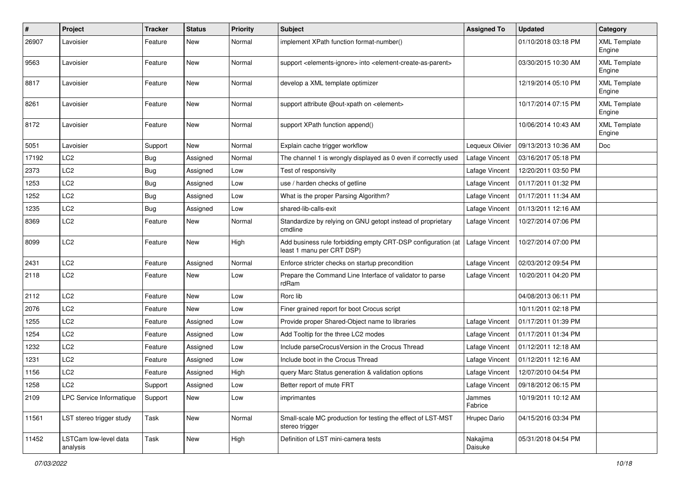| $\pmb{\#}$ | Project                           | <b>Tracker</b> | <b>Status</b> | <b>Priority</b> | <b>Subject</b>                                                                                         | <b>Assigned To</b>  | <b>Updated</b>                       | Category                      |
|------------|-----------------------------------|----------------|---------------|-----------------|--------------------------------------------------------------------------------------------------------|---------------------|--------------------------------------|-------------------------------|
| 26907      | Lavoisier                         | Feature        | New           | Normal          | implement XPath function format-number()                                                               |                     | 01/10/2018 03:18 PM                  | <b>XML Template</b><br>Engine |
| 9563       | Lavoisier                         | Feature        | New           | Normal          | support <elements-ignore> into <element-create-as-parent></element-create-as-parent></elements-ignore> |                     | 03/30/2015 10:30 AM                  | <b>XML Template</b><br>Engine |
| 8817       | Lavoisier                         | Feature        | New           | Normal          | develop a XML template optimizer                                                                       |                     | 12/19/2014 05:10 PM                  | <b>XML Template</b><br>Engine |
| 8261       | Lavoisier                         | Feature        | New           | Normal          | support attribute @out-xpath on <element></element>                                                    |                     | 10/17/2014 07:15 PM                  | <b>XML Template</b><br>Engine |
| 8172       | Lavoisier                         | Feature        | New           | Normal          | support XPath function append()                                                                        |                     | 10/06/2014 10:43 AM                  | <b>XML Template</b><br>Engine |
| 5051       | Lavoisier                         | Support        | New           | Normal          | Explain cache trigger workflow                                                                         | Lequeux Olivier     | 09/13/2013 10:36 AM                  | Doc                           |
| 17192      | LC <sub>2</sub>                   | Bug            | Assigned      | Normal          | The channel 1 is wrongly displayed as 0 even if correctly used                                         | Lafage Vincent      | 03/16/2017 05:18 PM                  |                               |
| 2373       | LC <sub>2</sub>                   | <b>Bug</b>     | Assigned      | Low             | Test of responsivity                                                                                   | Lafage Vincent      | 12/20/2011 03:50 PM                  |                               |
| 1253       | LC <sub>2</sub>                   | <b>Bug</b>     | Assigned      | Low             | use / harden checks of getline                                                                         | Lafage Vincent      | 01/17/2011 01:32 PM                  |                               |
| 1252       | LC <sub>2</sub>                   | <b>Bug</b>     | Assigned      | Low             | What is the proper Parsing Algorithm?                                                                  | Lafage Vincent      | 01/17/2011 11:34 AM                  |                               |
| 1235       | LC <sub>2</sub>                   | <b>Bug</b>     | Assigned      | Low             | shared-lib-calls-exit                                                                                  | Lafage Vincent      | 01/13/2011 12:16 AM                  |                               |
| 8369       | LC <sub>2</sub>                   | Feature        | New           | Normal          | Standardize by relying on GNU getopt instead of proprietary<br>cmdline                                 | Lafage Vincent      | 10/27/2014 07:06 PM                  |                               |
| 8099       | LC <sub>2</sub>                   | Feature        | New           | High            | Add business rule forbidding empty CRT-DSP configuration (at<br>least 1 manu per CRT DSP)              | Lafage Vincent      | 10/27/2014 07:00 PM                  |                               |
| 2431       | LC <sub>2</sub>                   | Feature        | Assigned      | Normal          | Enforce stricter checks on startup precondition                                                        | Lafage Vincent      | 02/03/2012 09:54 PM                  |                               |
| 2118       | LC <sub>2</sub>                   | Feature        | New           | Low             | Prepare the Command Line Interface of validator to parse<br>rdRam                                      | Lafage Vincent      | 10/20/2011 04:20 PM                  |                               |
| 2112       | LC2                               | Feature        | New           | Low             | Rorc lib                                                                                               |                     | 04/08/2013 06:11 PM                  |                               |
| 2076       | LC <sub>2</sub>                   | Feature        | <b>New</b>    | LOW             | Finer grained report for boot Crocus script                                                            |                     | 10/11/2011 02:18 PM                  |                               |
| 1255       | LC <sub>2</sub>                   | Feature        | Assigned      | Low             | Provide proper Shared-Object name to libraries                                                         | Lafage Vincent      | 01/17/2011 01:39 PM                  |                               |
| 1254       | LC <sub>2</sub>                   | Feature        | Assigned      | Low             | Add Tooltip for the three LC2 modes                                                                    | Lafage Vincent      | 01/17/2011 01:34 PM                  |                               |
| 1232       | LC <sub>2</sub>                   | Feature        | Assigned      | Low             | Include parseCrocusVersion in the Crocus Thread                                                        | Lafage Vincent      | 01/12/2011 12:18 AM                  |                               |
| 1231       | LC <sub>2</sub>                   | Feature        | Assigned      | Low             | Include boot in the Crocus Thread                                                                      | Lafage Vincent      | 01/12/2011 12:16 AM                  |                               |
| 1156       | LC <sub>2</sub>                   | Feature        | Assigned      | High            | query Marc Status generation & validation options                                                      | Lafage Vincent      | 12/07/2010 04:54 PM                  |                               |
| 1258       | LC <sub>2</sub>                   | Support        | Assigned      | Low             | Better report of mute FRT                                                                              |                     | Lafage Vincent   09/18/2012 06:15 PM |                               |
| 2109       | LPC Service Informatique          | Support        | New           | Low             | imprimantes                                                                                            | Jammes<br>Fabrice   | 10/19/2011 10:12 AM                  |                               |
| 11561      | LST stereo trigger study          | Task           | New           | Normal          | Small-scale MC production for testing the effect of LST-MST<br>stereo trigger                          | Hrupec Dario        | 04/15/2016 03:34 PM                  |                               |
| 11452      | LSTCam low-level data<br>analysis | Task           | New           | High            | Definition of LST mini-camera tests                                                                    | Nakajima<br>Daisuke | 05/31/2018 04:54 PM                  |                               |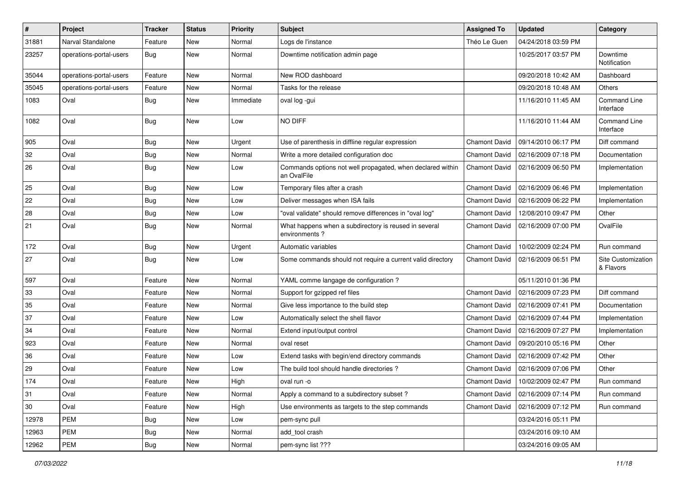| #     | Project                 | <b>Tracker</b> | <b>Status</b> | <b>Priority</b> | <b>Subject</b>                                                            | <b>Assigned To</b>   | <b>Updated</b>      | Category                         |
|-------|-------------------------|----------------|---------------|-----------------|---------------------------------------------------------------------------|----------------------|---------------------|----------------------------------|
| 31881 | Narval Standalone       | Feature        | New           | Normal          | Logs de l'instance                                                        | Théo Le Guen         | 04/24/2018 03:59 PM |                                  |
| 23257 | operations-portal-users | Bug            | New           | Normal          | Downtime notification admin page                                          |                      | 10/25/2017 03:57 PM | Downtime<br>Notification         |
| 35044 | operations-portal-users | Feature        | <b>New</b>    | Normal          | New ROD dashboard                                                         |                      | 09/20/2018 10:42 AM | Dashboard                        |
| 35045 | operations-portal-users | Feature        | <b>New</b>    | Normal          | Tasks for the release                                                     |                      | 09/20/2018 10:48 AM | Others                           |
| 1083  | Oval                    | Bug            | New           | Immediate       | oval log -gui                                                             |                      | 11/16/2010 11:45 AM | <b>Command Line</b><br>Interface |
| 1082  | Oval                    | Bug            | <b>New</b>    | Low             | NO DIFF                                                                   |                      | 11/16/2010 11:44 AM | <b>Command Line</b><br>Interface |
| 905   | Oval                    | <b>Bug</b>     | <b>New</b>    | Urgent          | Use of parenthesis in diffline regular expression                         | <b>Chamont David</b> | 09/14/2010 06:17 PM | Diff command                     |
| 32    | Oval                    | <b>Bug</b>     | <b>New</b>    | Normal          | Write a more detailed configuration doc                                   | <b>Chamont David</b> | 02/16/2009 07:18 PM | Documentation                    |
| 26    | Oval                    | <b>Bug</b>     | New           | Low             | Commands options not well propagated, when declared within<br>an OvalFile | <b>Chamont David</b> | 02/16/2009 06:50 PM | Implementation                   |
| 25    | Oval                    | <b>Bug</b>     | <b>New</b>    | Low             | Temporary files after a crash                                             | <b>Chamont David</b> | 02/16/2009 06:46 PM | Implementation                   |
| 22    | Oval                    | <b>Bug</b>     | <b>New</b>    | Low             | Deliver messages when ISA fails                                           | <b>Chamont David</b> | 02/16/2009 06:22 PM | Implementation                   |
| 28    | Oval                    | <b>Bug</b>     | <b>New</b>    | Low             | "oval validate" should remove differences in "oval log"                   | <b>Chamont David</b> | 12/08/2010 09:47 PM | Other                            |
| 21    | Oval                    | <b>Bug</b>     | New           | Normal          | What happens when a subdirectory is reused in several<br>environments?    | <b>Chamont David</b> | 02/16/2009 07:00 PM | OvalFile                         |
| 172   | Oval                    | Bug            | <b>New</b>    | Urgent          | Automatic variables                                                       | <b>Chamont David</b> | 10/02/2009 02:24 PM | Run command                      |
| 27    | Oval                    | <b>Bug</b>     | New           | Low             | Some commands should not require a current valid directory                | <b>Chamont David</b> | 02/16/2009 06:51 PM | Site Customization<br>& Flavors  |
| 597   | Oval                    | Feature        | <b>New</b>    | Normal          | YAML comme langage de configuration ?                                     |                      | 05/11/2010 01:36 PM |                                  |
| 33    | Oval                    | Feature        | <b>New</b>    | Normal          | Support for gzipped ref files                                             | <b>Chamont David</b> | 02/16/2009 07:23 PM | Diff command                     |
| 35    | Oval                    | Feature        | New           | Normal          | Give less importance to the build step                                    | Chamont David        | 02/16/2009 07:41 PM | Documentation                    |
| 37    | Oval                    | Feature        | <b>New</b>    | Low             | Automatically select the shell flavor                                     | <b>Chamont David</b> | 02/16/2009 07:44 PM | Implementation                   |
| 34    | Oval                    | Feature        | <b>New</b>    | Normal          | Extend input/output control                                               | <b>Chamont David</b> | 02/16/2009 07:27 PM | Implementation                   |
| 923   | Oval                    | Feature        | New           | Normal          | oval reset                                                                | <b>Chamont David</b> | 09/20/2010 05:16 PM | Other                            |
| 36    | Oval                    | Feature        | <b>New</b>    | Low             | Extend tasks with begin/end directory commands                            | <b>Chamont David</b> | 02/16/2009 07:42 PM | Other                            |
| 29    | Oval                    | Feature        | <b>New</b>    | Low             | The build tool should handle directories?                                 | <b>Chamont David</b> | 02/16/2009 07:06 PM | Other                            |
| 174   | Oval                    | Feature        | New           | High            | oval run -o                                                               | <b>Chamont David</b> | 10/02/2009 02:47 PM | Run command                      |
| 31    | Oval                    | Feature        | <b>New</b>    | Normal          | Apply a command to a subdirectory subset?                                 | <b>Chamont David</b> | 02/16/2009 07:14 PM | Run command                      |
| 30    | Oval                    | Feature        | New           | High            | Use environments as targets to the step commands                          | <b>Chamont David</b> | 02/16/2009 07:12 PM | Run command                      |
| 12978 | <b>PEM</b>              | <b>Bug</b>     | New           | Low             | pem-sync pull                                                             |                      | 03/24/2016 05:11 PM |                                  |
| 12963 | PEM                     | <b>Bug</b>     | New           | Normal          | add_tool crash                                                            |                      | 03/24/2016 09:10 AM |                                  |
| 12962 | PEM                     | Bug            | New           | Normal          | pem-sync list ???                                                         |                      | 03/24/2016 09:05 AM |                                  |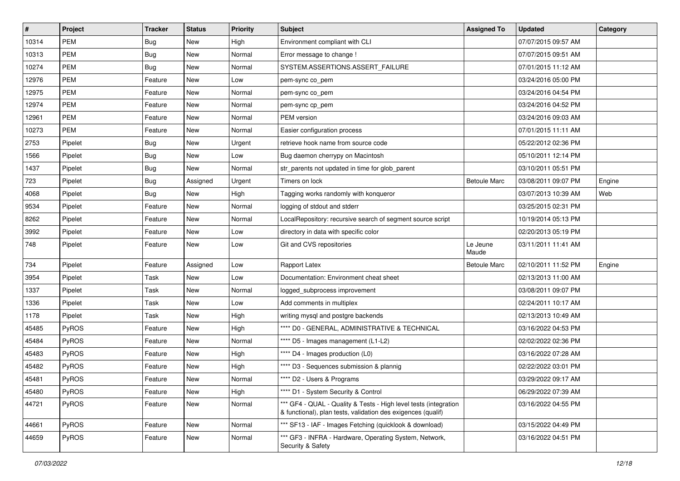| $\vert$ # | Project      | <b>Tracker</b> | <b>Status</b> | <b>Priority</b> | <b>Subject</b>                                                                                                                   | <b>Assigned To</b>  | <b>Updated</b>      | <b>Category</b> |
|-----------|--------------|----------------|---------------|-----------------|----------------------------------------------------------------------------------------------------------------------------------|---------------------|---------------------|-----------------|
| 10314     | <b>PEM</b>   | <b>Bug</b>     | New           | High            | Environment compliant with CLI                                                                                                   |                     | 07/07/2015 09:57 AM |                 |
| 10313     | PEM          | Bug            | <b>New</b>    | Normal          | Error message to change !                                                                                                        |                     | 07/07/2015 09:51 AM |                 |
| 10274     | PEM          | <b>Bug</b>     | New           | Normal          | SYSTEM.ASSERTIONS.ASSERT_FAILURE                                                                                                 |                     | 07/01/2015 11:12 AM |                 |
| 12976     | <b>PEM</b>   | Feature        | New           | Low             | pem-sync co_pem                                                                                                                  |                     | 03/24/2016 05:00 PM |                 |
| 12975     | PEM          | Feature        | <b>New</b>    | Normal          | pem-sync co_pem                                                                                                                  |                     | 03/24/2016 04:54 PM |                 |
| 12974     | PEM          | Feature        | New           | Normal          | pem-sync cp_pem                                                                                                                  |                     | 03/24/2016 04:52 PM |                 |
| 12961     | PEM          | Feature        | <b>New</b>    | Normal          | PEM version                                                                                                                      |                     | 03/24/2016 09:03 AM |                 |
| 10273     | <b>PEM</b>   | Feature        | New           | Normal          | Easier configuration process                                                                                                     |                     | 07/01/2015 11:11 AM |                 |
| 2753      | Pipelet      | <b>Bug</b>     | New           | Urgent          | retrieve hook name from source code                                                                                              |                     | 05/22/2012 02:36 PM |                 |
| 1566      | Pipelet      | Bug            | <b>New</b>    | Low             | Bug daemon cherrypy on Macintosh                                                                                                 |                     | 05/10/2011 12:14 PM |                 |
| 1437      | Pipelet      | <b>Bug</b>     | New           | Normal          | str_parents not updated in time for glob_parent                                                                                  |                     | 03/10/2011 05:51 PM |                 |
| 723       | Pipelet      | <b>Bug</b>     | Assigned      | Urgent          | Timers on lock                                                                                                                   | <b>Betoule Marc</b> | 03/08/2011 09:07 PM | Engine          |
| 4068      | Pipelet      | <b>Bug</b>     | New           | High            | Tagging works randomly with konqueror                                                                                            |                     | 03/07/2013 10:39 AM | Web             |
| 9534      | Pipelet      | Feature        | <b>New</b>    | Normal          | logging of stdout and stderr                                                                                                     |                     | 03/25/2015 02:31 PM |                 |
| 8262      | Pipelet      | Feature        | <b>New</b>    | Normal          | LocalRepository: recursive search of segment source script                                                                       |                     | 10/19/2014 05:13 PM |                 |
| 3992      | Pipelet      | Feature        | New           | Low             | directory in data with specific color                                                                                            |                     | 02/20/2013 05:19 PM |                 |
| 748       | Pipelet      | Feature        | New           | Low             | Git and CVS repositories                                                                                                         | Le Jeune<br>Maude   | 03/11/2011 11:41 AM |                 |
| 734       | Pipelet      | Feature        | Assigned      | Low             | Rapport Latex                                                                                                                    | <b>Betoule Marc</b> | 02/10/2011 11:52 PM | Engine          |
| 3954      | Pipelet      | Task           | <b>New</b>    | Low             | Documentation: Environment cheat sheet                                                                                           |                     | 02/13/2013 11:00 AM |                 |
| 1337      | Pipelet      | Task           | New           | Normal          | logged_subprocess improvement                                                                                                    |                     | 03/08/2011 09:07 PM |                 |
| 1336      | Pipelet      | Task           | New           | Low             | Add comments in multiplex                                                                                                        |                     | 02/24/2011 10:17 AM |                 |
| 1178      | Pipelet      | Task           | <b>New</b>    | High            | writing mysql and postgre backends                                                                                               |                     | 02/13/2013 10:49 AM |                 |
| 45485     | <b>PyROS</b> | Feature        | New           | High            | **** D0 - GENERAL, ADMINISTRATIVE & TECHNICAL                                                                                    |                     | 03/16/2022 04:53 PM |                 |
| 45484     | PyROS        | Feature        | <b>New</b>    | Normal          | **** D5 - Images management (L1-L2)                                                                                              |                     | 02/02/2022 02:36 PM |                 |
| 45483     | PyROS        | Feature        | New           | High            | **** D4 - Images production (L0)                                                                                                 |                     | 03/16/2022 07:28 AM |                 |
| 45482     | PyROS        | Feature        | <b>New</b>    | High            | **** D3 - Sequences submission & plannig                                                                                         |                     | 02/22/2022 03:01 PM |                 |
| 45481     | PyROS        | Feature        | New           | Normal          | **** D2 - Users & Programs                                                                                                       |                     | 03/29/2022 09:17 AM |                 |
| 45480     | PyROS        | Feature        | New           | High            | **** D1 - System Security & Control                                                                                              |                     | 06/29/2022 07:39 AM |                 |
| 44721     | PyROS        | Feature        | New           | Normal          | *** GF4 - QUAL - Quality & Tests - High level tests (integration<br>& functional), plan tests, validation des exigences (qualif) |                     | 03/16/2022 04:55 PM |                 |
| 44661     | PyROS        | Feature        | New           | Normal          | *** SF13 - IAF - Images Fetching (quicklook & download)                                                                          |                     | 03/15/2022 04:49 PM |                 |
| 44659     | PyROS        | Feature        | New           | Normal          | *** GF3 - INFRA - Hardware, Operating System, Network,<br>Security & Safety                                                      |                     | 03/16/2022 04:51 PM |                 |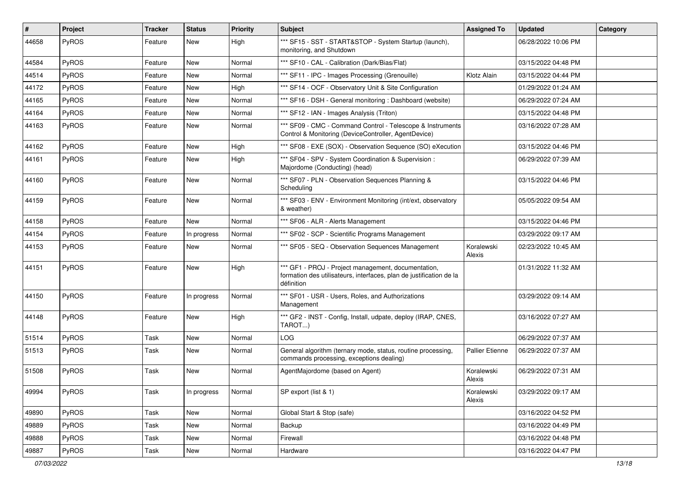| $\vert$ # | Project      | <b>Tracker</b> | <b>Status</b> | <b>Priority</b> | <b>Subject</b>                                                                                                                           | <b>Assigned To</b>     | <b>Updated</b>      | Category |
|-----------|--------------|----------------|---------------|-----------------|------------------------------------------------------------------------------------------------------------------------------------------|------------------------|---------------------|----------|
| 44658     | PyROS        | Feature        | New           | High            | *** SF15 - SST - START&STOP - System Startup (launch),<br>monitoring, and Shutdown                                                       |                        | 06/28/2022 10:06 PM |          |
| 44584     | <b>PyROS</b> | Feature        | New           | Normal          | *** SF10 - CAL - Calibration (Dark/Bias/Flat)                                                                                            |                        | 03/15/2022 04:48 PM |          |
| 44514     | <b>PyROS</b> | Feature        | New           | Normal          | *** SF11 - IPC - Images Processing (Grenouille)                                                                                          | Klotz Alain            | 03/15/2022 04:44 PM |          |
| 44172     | <b>PyROS</b> | Feature        | New           | High            | *** SF14 - OCF - Observatory Unit & Site Configuration                                                                                   |                        | 01/29/2022 01:24 AM |          |
| 44165     | <b>PyROS</b> | Feature        | New           | Normal          | *** SF16 - DSH - General monitoring: Dashboard (website)                                                                                 |                        | 06/29/2022 07:24 AM |          |
| 44164     | PyROS        | Feature        | New           | Normal          | *** SF12 - IAN - Images Analysis (Triton)                                                                                                |                        | 03/15/2022 04:48 PM |          |
| 44163     | PyROS        | Feature        | New           | Normal          | *** SF09 - CMC - Command Control - Telescope & Instruments<br>Control & Monitoring (DeviceController, AgentDevice)                       |                        | 03/16/2022 07:28 AM |          |
| 44162     | PyROS        | Feature        | <b>New</b>    | High            | *** SF08 - EXE (SOX) - Observation Sequence (SO) eXecution                                                                               |                        | 03/15/2022 04:46 PM |          |
| 44161     | <b>PyROS</b> | Feature        | New           | High            | *** SF04 - SPV - System Coordination & Supervision :<br>Majordome (Conducting) (head)                                                    |                        | 06/29/2022 07:39 AM |          |
| 44160     | PyROS        | Feature        | <b>New</b>    | Normal          | *** SF07 - PLN - Observation Sequences Planning &<br>Scheduling                                                                          |                        | 03/15/2022 04:46 PM |          |
| 44159     | PyROS        | Feature        | New           | Normal          | *** SF03 - ENV - Environment Monitoring (int/ext, observatory<br>& weather)                                                              |                        | 05/05/2022 09:54 AM |          |
| 44158     | <b>PyROS</b> | Feature        | <b>New</b>    | Normal          | *** SF06 - ALR - Alerts Management                                                                                                       |                        | 03/15/2022 04:46 PM |          |
| 44154     | PyROS        | Feature        | In progress   | Normal          | *** SF02 - SCP - Scientific Programs Management                                                                                          |                        | 03/29/2022 09:17 AM |          |
| 44153     | <b>PyROS</b> | Feature        | New           | Normal          | *** SF05 - SEQ - Observation Sequences Management                                                                                        | Koralewski<br>Alexis   | 02/23/2022 10:45 AM |          |
| 44151     | PyROS        | Feature        | <b>New</b>    | High            | *** GF1 - PROJ - Project management, documentation,<br>formation des utilisateurs, interfaces, plan de justification de la<br>définition |                        | 01/31/2022 11:32 AM |          |
| 44150     | PyROS        | Feature        | In progress   | Normal          | *** SF01 - USR - Users, Roles, and Authorizations<br>Management                                                                          |                        | 03/29/2022 09:14 AM |          |
| 44148     | PyROS        | Feature        | New           | High            | *** GF2 - INST - Config, Install, udpate, deploy (IRAP, CNES,<br>TAROT)                                                                  |                        | 03/16/2022 07:27 AM |          |
| 51514     | <b>PyROS</b> | Task           | New           | Normal          | LOG                                                                                                                                      |                        | 06/29/2022 07:37 AM |          |
| 51513     | PyROS        | Task           | New           | Normal          | General algorithm (ternary mode, status, routine processing,<br>commands processing, exceptions dealing)                                 | <b>Pallier Etienne</b> | 06/29/2022 07:37 AM |          |
| 51508     | PyROS        | Task           | New           | Normal          | AgentMajordome (based on Agent)                                                                                                          | Koralewski<br>Alexis   | 06/29/2022 07:31 AM |          |
| 49994     | <b>PyROS</b> | Task           | In progress   | Normal          | SP export (list & 1)                                                                                                                     | Koralewski<br>Alexis   | 03/29/2022 09:17 AM |          |
| 49890     | PyROS        | Task           | New           | Normal          | Global Start & Stop (safe)                                                                                                               |                        | 03/16/2022 04:52 PM |          |
| 49889     | PyROS        | Task           | New           | Normal          | Backup                                                                                                                                   |                        | 03/16/2022 04:49 PM |          |
| 49888     | <b>PyROS</b> | Task           | New           | Normal          | Firewall                                                                                                                                 |                        | 03/16/2022 04:48 PM |          |
| 49887     | PyROS        | Task           | New           | Normal          | Hardware                                                                                                                                 |                        | 03/16/2022 04:47 PM |          |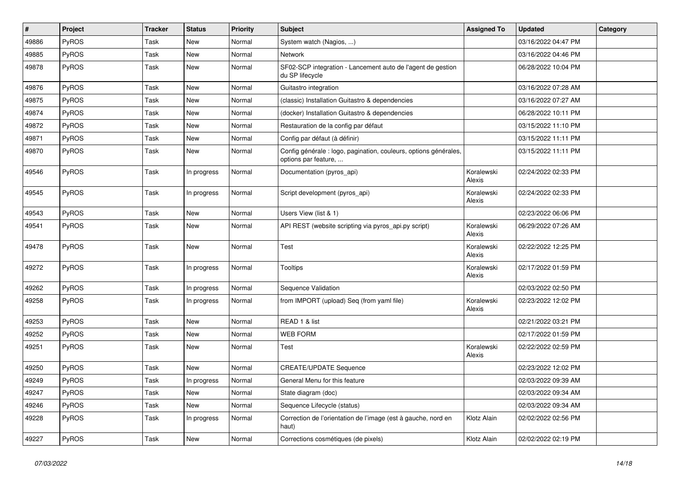| #     | Project | <b>Tracker</b> | <b>Status</b> | <b>Priority</b> | Subject                                                                                  | <b>Assigned To</b>   | <b>Updated</b>      | Category |
|-------|---------|----------------|---------------|-----------------|------------------------------------------------------------------------------------------|----------------------|---------------------|----------|
| 49886 | PyROS   | Task           | <b>New</b>    | Normal          | System watch (Nagios, )                                                                  |                      | 03/16/2022 04:47 PM |          |
| 49885 | PyROS   | Task           | <b>New</b>    | Normal          | Network                                                                                  |                      | 03/16/2022 04:46 PM |          |
| 49878 | PyROS   | Task           | New           | Normal          | SF02-SCP integration - Lancement auto de l'agent de gestion<br>du SP lifecycle           |                      | 06/28/2022 10:04 PM |          |
| 49876 | PyROS   | Task           | <b>New</b>    | Normal          | Guitastro integration                                                                    |                      | 03/16/2022 07:28 AM |          |
| 49875 | PyROS   | Task           | <b>New</b>    | Normal          | (classic) Installation Guitastro & dependencies                                          |                      | 03/16/2022 07:27 AM |          |
| 49874 | PyROS   | Task           | New           | Normal          | (docker) Installation Guitastro & dependencies                                           |                      | 06/28/2022 10:11 PM |          |
| 49872 | PyROS   | Task           | New           | Normal          | Restauration de la config par défaut                                                     |                      | 03/15/2022 11:10 PM |          |
| 49871 | PyROS   | Task           | New           | Normal          | Config par défaut (à définir)                                                            |                      | 03/15/2022 11:11 PM |          |
| 49870 | PyROS   | Task           | New           | Normal          | Config générale : logo, pagination, couleurs, options générales,<br>options par feature, |                      | 03/15/2022 11:11 PM |          |
| 49546 | PyROS   | Task           | In progress   | Normal          | Documentation (pyros_api)                                                                | Koralewski<br>Alexis | 02/24/2022 02:33 PM |          |
| 49545 | PyROS   | Task           | In progress   | Normal          | Script development (pyros_api)                                                           | Koralewski<br>Alexis | 02/24/2022 02:33 PM |          |
| 49543 | PyROS   | Task           | <b>New</b>    | Normal          | Users View (list & 1)                                                                    |                      | 02/23/2022 06:06 PM |          |
| 49541 | PyROS   | Task           | <b>New</b>    | Normal          | API REST (website scripting via pyros_api.py script)                                     | Koralewski<br>Alexis | 06/29/2022 07:26 AM |          |
| 49478 | PyROS   | Task           | <b>New</b>    | Normal          | Test                                                                                     | Koralewski<br>Alexis | 02/22/2022 12:25 PM |          |
| 49272 | PyROS   | Task           | In progress   | Normal          | <b>Tooltips</b>                                                                          | Koralewski<br>Alexis | 02/17/2022 01:59 PM |          |
| 49262 | PyROS   | Task           | In progress   | Normal          | Sequence Validation                                                                      |                      | 02/03/2022 02:50 PM |          |
| 49258 | PyROS   | Task           | In progress   | Normal          | from IMPORT (upload) Seq (from yaml file)                                                | Koralewski<br>Alexis | 02/23/2022 12:02 PM |          |
| 49253 | PyROS   | Task           | <b>New</b>    | Normal          | READ 1 & list                                                                            |                      | 02/21/2022 03:21 PM |          |
| 49252 | PyROS   | Task           | New           | Normal          | <b>WEB FORM</b>                                                                          |                      | 02/17/2022 01:59 PM |          |
| 49251 | PyROS   | Task           | New           | Normal          | Test                                                                                     | Koralewski<br>Alexis | 02/22/2022 02:59 PM |          |
| 49250 | PyROS   | Task           | New           | Normal          | <b>CREATE/UPDATE Sequence</b>                                                            |                      | 02/23/2022 12:02 PM |          |
| 49249 | PyROS   | Task           | In progress   | Normal          | General Menu for this feature                                                            |                      | 02/03/2022 09:39 AM |          |
| 49247 | PyROS   | Task           | New           | Normal          | State diagram (doc)                                                                      |                      | 02/03/2022 09:34 AM |          |
| 49246 | PyROS   | Task           | New           | Normal          | Sequence Lifecycle (status)                                                              |                      | 02/03/2022 09:34 AM |          |
| 49228 | PyROS   | Task           | In progress   | Normal          | Correction de l'orientation de l'image (est à gauche, nord en<br>haut)                   | Klotz Alain          | 02/02/2022 02:56 PM |          |
| 49227 | PyROS   | Task           | New           | Normal          | Corrections cosmétiques (de pixels)                                                      | Klotz Alain          | 02/02/2022 02:19 PM |          |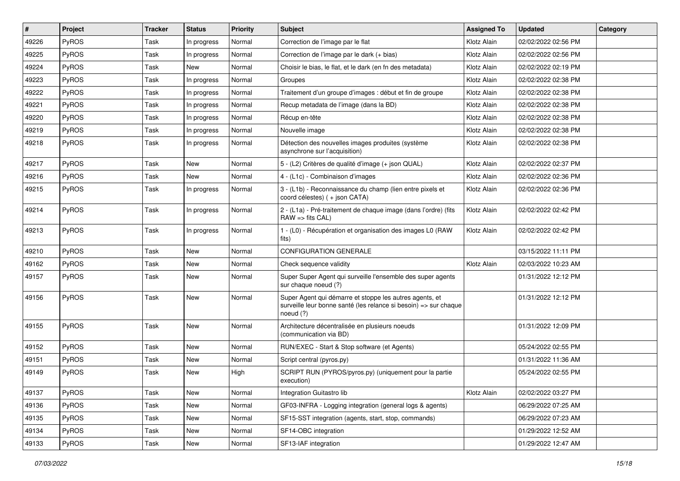| $\#$  | Project      | <b>Tracker</b> | <b>Status</b> | <b>Priority</b> | Subject                                                                                                                                  | <b>Assigned To</b> | <b>Updated</b>      | Category |
|-------|--------------|----------------|---------------|-----------------|------------------------------------------------------------------------------------------------------------------------------------------|--------------------|---------------------|----------|
| 49226 | PyROS        | Task           | In progress   | Normal          | Correction de l'image par le flat                                                                                                        | Klotz Alain        | 02/02/2022 02:56 PM |          |
| 49225 | PyROS        | Task           | In progress   | Normal          | Correction de l'image par le dark (+ bias)                                                                                               | Klotz Alain        | 02/02/2022 02:56 PM |          |
| 49224 | <b>PyROS</b> | Task           | <b>New</b>    | Normal          | Choisir le bias, le flat, et le dark (en fn des metadata)                                                                                | Klotz Alain        | 02/02/2022 02:19 PM |          |
| 49223 | <b>PyROS</b> | Task           | In progress   | Normal          | Groupes                                                                                                                                  | Klotz Alain        | 02/02/2022 02:38 PM |          |
| 49222 | PyROS        | Task           | In progress   | Normal          | Traitement d'un groupe d'images : début et fin de groupe                                                                                 | Klotz Alain        | 02/02/2022 02:38 PM |          |
| 49221 | PyROS        | Task           | In progress   | Normal          | Recup metadata de l'image (dans la BD)                                                                                                   | Klotz Alain        | 02/02/2022 02:38 PM |          |
| 49220 | <b>PyROS</b> | Task           | In progress   | Normal          | Récup en-tête                                                                                                                            | Klotz Alain        | 02/02/2022 02:38 PM |          |
| 49219 | <b>PyROS</b> | Task           | In progress   | Normal          | Nouvelle image                                                                                                                           | Klotz Alain        | 02/02/2022 02:38 PM |          |
| 49218 | <b>PyROS</b> | Task           | In progress   | Normal          | Détection des nouvelles images produites (système<br>asynchrone sur l'acquisition)                                                       | Klotz Alain        | 02/02/2022 02:38 PM |          |
| 49217 | <b>PyROS</b> | Task           | <b>New</b>    | Normal          | 5 - (L2) Critères de qualité d'image (+ json QUAL)                                                                                       | Klotz Alain        | 02/02/2022 02:37 PM |          |
| 49216 | <b>PyROS</b> | Task           | New           | Normal          | 4 - (L1c) - Combinaison d'images                                                                                                         | Klotz Alain        | 02/02/2022 02:36 PM |          |
| 49215 | <b>PyROS</b> | Task           | In progress   | Normal          | 3 - (L1b) - Reconnaissance du champ (lien entre pixels et<br>coord célestes) (+ json CATA)                                               | Klotz Alain        | 02/02/2022 02:36 PM |          |
| 49214 | <b>PyROS</b> | Task           | In progress   | Normal          | 2 - (L1a) - Pré-traitement de chaque image (dans l'ordre) (fits<br>$RAW \Rightarrow fits CAL$                                            | Klotz Alain        | 02/02/2022 02:42 PM |          |
| 49213 | PyROS        | Task           | In progress   | Normal          | 1 - (L0) - Récupération et organisation des images L0 (RAW<br>fits)                                                                      | Klotz Alain        | 02/02/2022 02:42 PM |          |
| 49210 | <b>PyROS</b> | Task           | New           | Normal          | <b>CONFIGURATION GENERALE</b>                                                                                                            |                    | 03/15/2022 11:11 PM |          |
| 49162 | <b>PyROS</b> | Task           | New           | Normal          | Check sequence validity                                                                                                                  | Klotz Alain        | 02/03/2022 10:23 AM |          |
| 49157 | PyROS        | Task           | New           | Normal          | Super Super Agent qui surveille l'ensemble des super agents<br>sur chaque noeud (?)                                                      |                    | 01/31/2022 12:12 PM |          |
| 49156 | <b>PyROS</b> | Task           | <b>New</b>    | Normal          | Super Agent qui démarre et stoppe les autres agents, et<br>surveille leur bonne santé (les relance si besoin) => sur chaque<br>noeud (?) |                    | 01/31/2022 12:12 PM |          |
| 49155 | <b>PyROS</b> | Task           | <b>New</b>    | Normal          | Architecture décentralisée en plusieurs noeuds<br>(communication via BD)                                                                 |                    | 01/31/2022 12:09 PM |          |
| 49152 | PyROS        | Task           | <b>New</b>    | Normal          | RUN/EXEC - Start & Stop software (et Agents)                                                                                             |                    | 05/24/2022 02:55 PM |          |
| 49151 | <b>PyROS</b> | Task           | <b>New</b>    | Normal          | Script central (pyros.py)                                                                                                                |                    | 01/31/2022 11:36 AM |          |
| 49149 | <b>PyROS</b> | Task           | New           | High            | SCRIPT RUN (PYROS/pyros.py) (uniquement pour la partie<br>execution)                                                                     |                    | 05/24/2022 02:55 PM |          |
| 49137 | PyROS        | Task           | New           | Normal          | Integration Guitastro lib                                                                                                                | Klotz Alain        | 02/02/2022 03:27 PM |          |
| 49136 | PyROS        | Task           | New           | Normal          | GF03-INFRA - Logging integration (general logs & agents)                                                                                 |                    | 06/29/2022 07:25 AM |          |
| 49135 | PyROS        | Task           | New           | Normal          | SF15-SST integration (agents, start, stop, commands)                                                                                     |                    | 06/29/2022 07:23 AM |          |
| 49134 | <b>PyROS</b> | Task           | New           | Normal          | SF14-OBC integration                                                                                                                     |                    | 01/29/2022 12:52 AM |          |
| 49133 | PyROS        | Task           | New           | Normal          | SF13-IAF integration                                                                                                                     |                    | 01/29/2022 12:47 AM |          |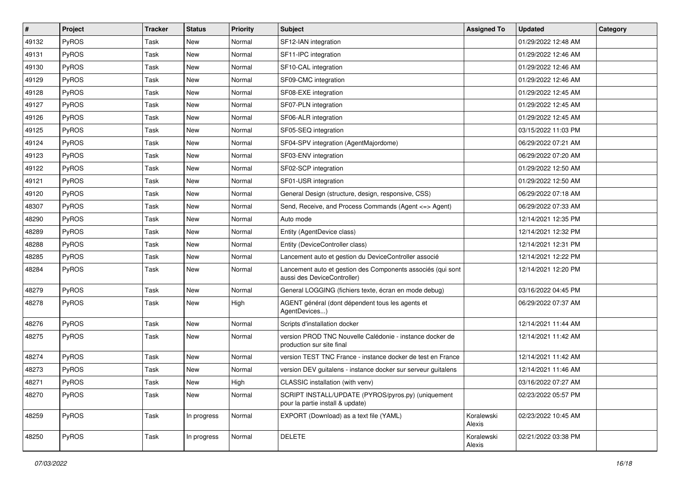| $\vert$ # | Project      | <b>Tracker</b> | <b>Status</b> | <b>Priority</b> | <b>Subject</b>                                                                             | <b>Assigned To</b>   | <b>Updated</b>      | Category |
|-----------|--------------|----------------|---------------|-----------------|--------------------------------------------------------------------------------------------|----------------------|---------------------|----------|
| 49132     | PyROS        | Task           | New           | Normal          | SF12-IAN integration                                                                       |                      | 01/29/2022 12:48 AM |          |
| 49131     | PyROS        | Task           | <b>New</b>    | Normal          | SF11-IPC integration                                                                       |                      | 01/29/2022 12:46 AM |          |
| 49130     | PyROS        | Task           | New           | Normal          | SF10-CAL integration                                                                       |                      | 01/29/2022 12:46 AM |          |
| 49129     | PyROS        | Task           | New           | Normal          | SF09-CMC integration                                                                       |                      | 01/29/2022 12:46 AM |          |
| 49128     | PyROS        | Task           | <b>New</b>    | Normal          | SF08-EXE integration                                                                       |                      | 01/29/2022 12:45 AM |          |
| 49127     | PyROS        | Task           | New           | Normal          | SF07-PLN integration                                                                       |                      | 01/29/2022 12:45 AM |          |
| 49126     | PyROS        | Task           | <b>New</b>    | Normal          | SF06-ALR integration                                                                       |                      | 01/29/2022 12:45 AM |          |
| 49125     | PyROS        | Task           | New           | Normal          | SF05-SEQ integration                                                                       |                      | 03/15/2022 11:03 PM |          |
| 49124     | PyROS        | Task           | New           | Normal          | SF04-SPV integration (AgentMajordome)                                                      |                      | 06/29/2022 07:21 AM |          |
| 49123     | PyROS        | Task           | <b>New</b>    | Normal          | SF03-ENV integration                                                                       |                      | 06/29/2022 07:20 AM |          |
| 49122     | <b>PyROS</b> | Task           | New           | Normal          | SF02-SCP integration                                                                       |                      | 01/29/2022 12:50 AM |          |
| 49121     | PyROS        | Task           | New           | Normal          | SF01-USR integration                                                                       |                      | 01/29/2022 12:50 AM |          |
| 49120     | PyROS        | Task           | New           | Normal          | General Design (structure, design, responsive, CSS)                                        |                      | 06/29/2022 07:18 AM |          |
| 48307     | PyROS        | Task           | <b>New</b>    | Normal          | Send, Receive, and Process Commands (Agent <= > Agent)                                     |                      | 06/29/2022 07:33 AM |          |
| 48290     | PyROS        | Task           | <b>New</b>    | Normal          | Auto mode                                                                                  |                      | 12/14/2021 12:35 PM |          |
| 48289     | PyROS        | Task           | New           | Normal          | Entity (AgentDevice class)                                                                 |                      | 12/14/2021 12:32 PM |          |
| 48288     | PyROS        | Task           | New           | Normal          | Entity (DeviceController class)                                                            |                      | 12/14/2021 12:31 PM |          |
| 48285     | PyROS        | Task           | <b>New</b>    | Normal          | Lancement auto et gestion du DeviceController associé                                      |                      | 12/14/2021 12:22 PM |          |
| 48284     | PyROS        | Task           | New           | Normal          | Lancement auto et gestion des Components associés (qui sont<br>aussi des DeviceController) |                      | 12/14/2021 12:20 PM |          |
| 48279     | PyROS        | Task           | <b>New</b>    | Normal          | General LOGGING (fichiers texte, écran en mode debug)                                      |                      | 03/16/2022 04:45 PM |          |
| 48278     | PyROS        | Task           | New           | High            | AGENT général (dont dépendent tous les agents et<br>AgentDevices)                          |                      | 06/29/2022 07:37 AM |          |
| 48276     | PyROS        | Task           | <b>New</b>    | Normal          | Scripts d'installation docker                                                              |                      | 12/14/2021 11:44 AM |          |
| 48275     | PyROS        | Task           | New           | Normal          | version PROD TNC Nouvelle Calédonie - instance docker de<br>production sur site final      |                      | 12/14/2021 11:42 AM |          |
| 48274     | PyROS        | Task           | <b>New</b>    | Normal          | version TEST TNC France - instance docker de test en France                                |                      | 12/14/2021 11:42 AM |          |
| 48273     | PyROS        | Task           | New           | Normal          | version DEV guitalens - instance docker sur serveur guitalens                              |                      | 12/14/2021 11:46 AM |          |
| 48271     | PyROS        | Task           | New           | High            | CLASSIC installation (with venv)                                                           |                      | 03/16/2022 07:27 AM |          |
| 48270     | PyROS        | Task           | New           | Normal          | SCRIPT INSTALL/UPDATE (PYROS/pyros.py) (uniquement<br>pour la partie install & update)     |                      | 02/23/2022 05:57 PM |          |
| 48259     | PyROS        | Task           | In progress   | Normal          | EXPORT (Download) as a text file (YAML)                                                    | Koralewski<br>Alexis | 02/23/2022 10:45 AM |          |
| 48250     | PyROS        | Task           | In progress   | Normal          | <b>DELETE</b>                                                                              | Koralewski<br>Alexis | 02/21/2022 03:38 PM |          |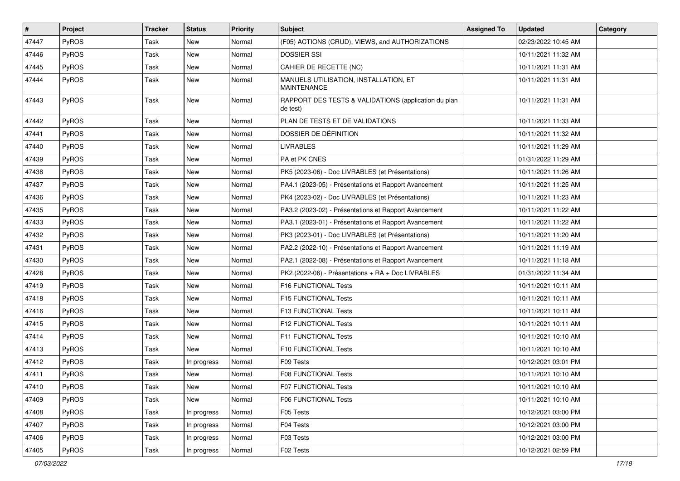| #     | Project      | <b>Tracker</b> | <b>Status</b> | <b>Priority</b> | <b>Subject</b>                                                   | <b>Assigned To</b> | <b>Updated</b>      | Category |
|-------|--------------|----------------|---------------|-----------------|------------------------------------------------------------------|--------------------|---------------------|----------|
| 47447 | PyROS        | Task           | New           | Normal          | (F05) ACTIONS (CRUD), VIEWS, and AUTHORIZATIONS                  |                    | 02/23/2022 10:45 AM |          |
| 47446 | PyROS        | Task           | <b>New</b>    | Normal          | <b>DOSSIER SSI</b>                                               |                    | 10/11/2021 11:32 AM |          |
| 47445 | PyROS        | Task           | New           | Normal          | CAHIER DE RECETTE (NC)                                           |                    | 10/11/2021 11:31 AM |          |
| 47444 | PyROS        | Task           | New           | Normal          | MANUELS UTILISATION, INSTALLATION, ET<br><b>MAINTENANCE</b>      |                    | 10/11/2021 11:31 AM |          |
| 47443 | PyROS        | Task           | <b>New</b>    | Normal          | RAPPORT DES TESTS & VALIDATIONS (application du plan<br>de test) |                    | 10/11/2021 11:31 AM |          |
| 47442 | PyROS        | Task           | <b>New</b>    | Normal          | PLAN DE TESTS ET DE VALIDATIONS                                  |                    | 10/11/2021 11:33 AM |          |
| 47441 | PyROS        | Task           | New           | Normal          | DOSSIER DE DÉFINITION                                            |                    | 10/11/2021 11:32 AM |          |
| 47440 | PyROS        | Task           | <b>New</b>    | Normal          | <b>LIVRABLES</b>                                                 |                    | 10/11/2021 11:29 AM |          |
| 47439 | PyROS        | Task           | <b>New</b>    | Normal          | PA et PK CNES                                                    |                    | 01/31/2022 11:29 AM |          |
| 47438 | PyROS        | Task           | New           | Normal          | PK5 (2023-06) - Doc LIVRABLES (et Présentations)                 |                    | 10/11/2021 11:26 AM |          |
| 47437 | PyROS        | Task           | <b>New</b>    | Normal          | PA4.1 (2023-05) - Présentations et Rapport Avancement            |                    | 10/11/2021 11:25 AM |          |
| 47436 | <b>PyROS</b> | Task           | New           | Normal          | PK4 (2023-02) - Doc LIVRABLES (et Présentations)                 |                    | 10/11/2021 11:23 AM |          |
| 47435 | PyROS        | Task           | <b>New</b>    | Normal          | PA3.2 (2023-02) - Présentations et Rapport Avancement            |                    | 10/11/2021 11:22 AM |          |
| 47433 | PyROS        | Task           | New           | Normal          | PA3.1 (2023-01) - Présentations et Rapport Avancement            |                    | 10/11/2021 11:22 AM |          |
| 47432 | PyROS        | Task           | New           | Normal          | PK3 (2023-01) - Doc LIVRABLES (et Présentations)                 |                    | 10/11/2021 11:20 AM |          |
| 47431 | PyROS        | Task           | <b>New</b>    | Normal          | PA2.2 (2022-10) - Présentations et Rapport Avancement            |                    | 10/11/2021 11:19 AM |          |
| 47430 | PyROS        | Task           | New           | Normal          | PA2.1 (2022-08) - Présentations et Rapport Avancement            |                    | 10/11/2021 11:18 AM |          |
| 47428 | PyROS        | Task           | <b>New</b>    | Normal          | PK2 (2022-06) - Présentations + RA + Doc LIVRABLES               |                    | 01/31/2022 11:34 AM |          |
| 47419 | PyROS        | Task           | New           | Normal          | F16 FUNCTIONAL Tests                                             |                    | 10/11/2021 10:11 AM |          |
| 47418 | PyROS        | Task           | <b>New</b>    | Normal          | F15 FUNCTIONAL Tests                                             |                    | 10/11/2021 10:11 AM |          |
| 47416 | PyROS        | Task           | <b>New</b>    | Normal          | F13 FUNCTIONAL Tests                                             |                    | 10/11/2021 10:11 AM |          |
| 47415 | PyROS        | Task           | New           | Normal          | F12 FUNCTIONAL Tests                                             |                    | 10/11/2021 10:11 AM |          |
| 47414 | PyROS        | Task           | <b>New</b>    | Normal          | F11 FUNCTIONAL Tests                                             |                    | 10/11/2021 10:10 AM |          |
| 47413 | PyROS        | Task           | <b>New</b>    | Normal          | F10 FUNCTIONAL Tests                                             |                    | 10/11/2021 10:10 AM |          |
| 47412 | PyROS        | Task           | In progress   | Normal          | F09 Tests                                                        |                    | 10/12/2021 03:01 PM |          |
| 47411 | PyROS        | Task           | <b>New</b>    | Normal          | F08 FUNCTIONAL Tests                                             |                    | 10/11/2021 10:10 AM |          |
| 47410 | PyROS        | Task           | New           | Normal          | F07 FUNCTIONAL Tests                                             |                    | 10/11/2021 10:10 AM |          |
| 47409 | PyROS        | Task           | New           | Normal          | <b>F06 FUNCTIONAL Tests</b>                                      |                    | 10/11/2021 10:10 AM |          |
| 47408 | PyROS        | Task           | In progress   | Normal          | F05 Tests                                                        |                    | 10/12/2021 03:00 PM |          |
| 47407 | PyROS        | Task           | In progress   | Normal          | F04 Tests                                                        |                    | 10/12/2021 03:00 PM |          |
| 47406 | PyROS        | Task           | In progress   | Normal          | F03 Tests                                                        |                    | 10/12/2021 03:00 PM |          |
| 47405 | PyROS        | Task           | In progress   | Normal          | F02 Tests                                                        |                    | 10/12/2021 02:59 PM |          |